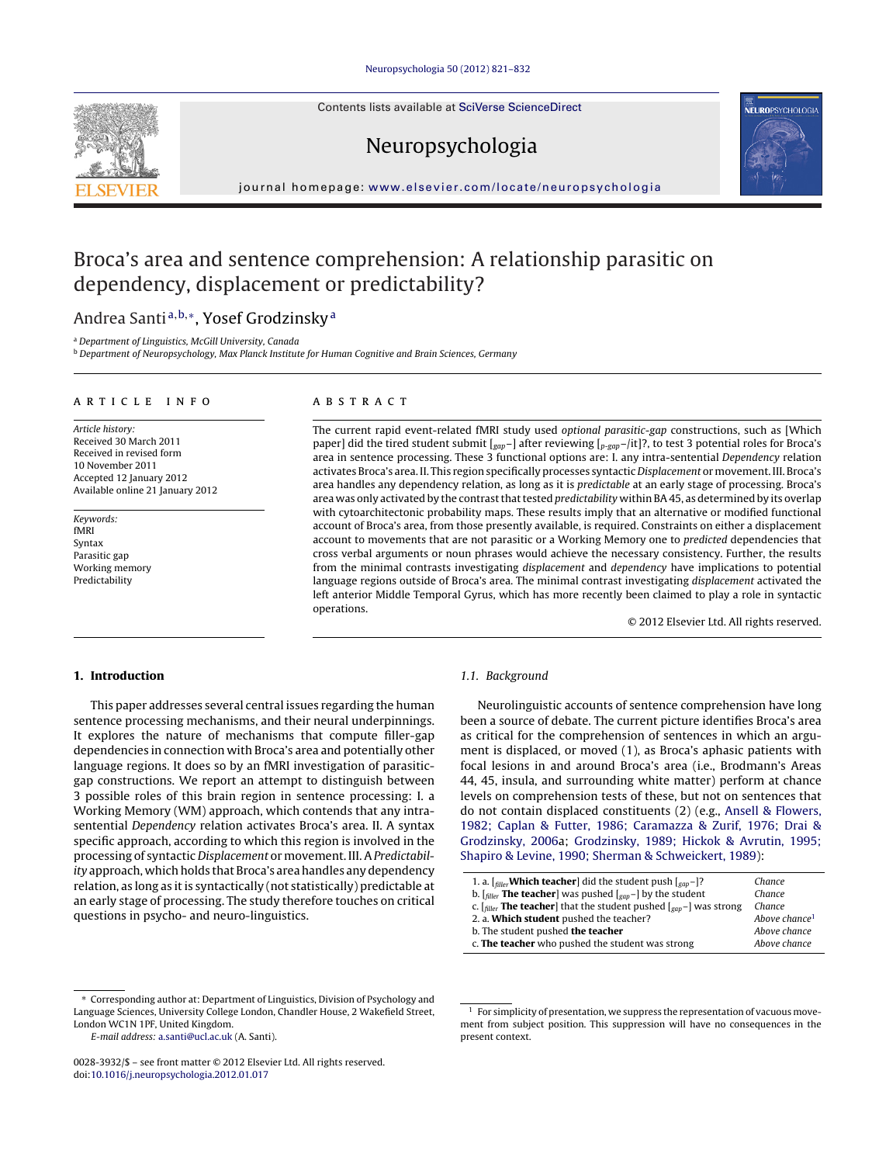Contents lists available at SciVerse [ScienceDirect](http://www.sciencedirect.com/science/journal/00283932)



### iournal homepage: [www.elsevier.com/locate/neuropsychologia](http://www.elsevier.com/locate/neuropsychologia)

Neuropsychologia

# Broca's area and sentence comprehension: A relationship parasitic on dependency, displacement or predictability?

## Andrea Santi <sup>a</sup>,b,<sup>∗</sup>, Yosef Grodzinsky<sup>a</sup>

<sup>a</sup> Department of Linguistics, McGill University, Canada

<sup>b</sup> Department of Neuropsychology, Max Planck Institute for Human Cognitive and Brain Sciences, Germany

### a r t i c l e i n f o

Article history: Received 30 March 2011 Received in revised form 10 November 2011 Accepted 12 January 2012 Available online 21 January 2012

Keywords: fMRI Syntax Parasitic gap Working memory Predictability

### A B S T R A C T

The current rapid event-related fMRI study used optional parasitic-gap constructions, such as [Which paper] did the tired student submit  $\left[\frac{gap}{gap}\right]$  after reviewing  $\left[\frac{p\text{-}gap}{gap}\right]$ , to test 3 potential roles for Broca's area in sentence processing. These 3 functional options are: I. any intra-sentential Dependency relation activates Broca's area.II. This region specifically processes syntactic Displacement ormovement.III. Broca's area handles any dependency relation, as long as it is predictable at an early stage of processing. Broca's area was only activated by the contrast that tested *predictability* within BA45, as determined by its overlap with cytoarchitectonic probability maps. These results imply that an alternative or modified functional account of Broca's area, from those presently available, is required. Constraints on either a displacement account to movements that are not parasitic or a Working Memory one to predicted dependencies that cross verbal arguments or noun phrases would achieve the necessary consistency. Further, the results from the minimal contrasts investigating displacement and dependency have implications to potential language regions outside of Broca's area. The minimal contrast investigating displacement activated the left anterior Middle Temporal Gyrus, which has more recently been claimed to play a role in syntactic operations.

© 2012 Elsevier Ltd. All rights reserved.

### **1. Introduction**

This paper addresses several central issues regarding the human sentence processing mechanisms, and their neural underpinnings. It explores the nature of mechanisms that compute filler-gap dependencies in connection with Broca's area and potentially other language regions. It does so by an fMRI investigation of parasiticgap constructions. We report an attempt to distinguish between 3 possible roles of this brain region in sentence processing: I. a Working Memory (WM) approach, which contends that any intrasentential Dependency relation activates Broca's area. II. A syntax specific approach, according to which this region is involved in the processing of syntactic Displacement or movement. III.APredictability approach, which holds that Broca's area handles any dependency relation, as long as itis syntactically (not statistically) predictable at an early stage of processing. The study therefore touches on critical questions in psycho- and neuro-linguistics.

### 1.1. Background

Neurolinguistic accounts of sentence comprehension have long been a source of debate. The current picture identifies Broca's area as critical for the comprehension of sentences in which an argument is displaced, or moved (1), as Broca's aphasic patients with focal lesions in and around Broca's area (i.e., Brodmann's Areas 44, 45, insula, and surrounding white matter) perform at chance levels on comprehension tests of these, but not on sentences that do not contain displaced constituents (2) (e.g., [Ansell](#page-10-0) [&](#page-10-0) [Flowers,](#page-10-0) [1982;](#page-10-0) [Caplan](#page-10-0) [&](#page-10-0) [Futter,](#page-10-0) [1986;](#page-10-0) [Caramazza](#page-10-0) [&](#page-10-0) [Zurif,](#page-10-0) [1976;](#page-10-0) [Drai](#page-10-0) [&](#page-10-0) [Grodzinsky,](#page-10-0) [2006a;](#page-10-0) [Grodzinsky,](#page-11-0) [1989;](#page-11-0) [Hickok](#page-11-0) [&](#page-11-0) [Avrutin,](#page-11-0) [1995;](#page-11-0) [Shapiro](#page-11-0) [&](#page-11-0) [Levine,](#page-11-0) [1990;](#page-11-0) [Sherman](#page-11-0) [&](#page-11-0) [Schweickert,](#page-11-0) [1989\):](#page-11-0)

| 1. a. $\left[\text{filter}$ <b>Which teacher</b> ] did the student push $\left[\text{gap} - \right]$ ?            | Chance                    |
|-------------------------------------------------------------------------------------------------------------------|---------------------------|
| b. $\lceil$ filler <b>The teacher</b> was pushed $\lceil$ gap – $\rceil$ by the student                           | Chance                    |
| c. $\left[$ <sub>filler</sub> The teacher] that the student pushed $\left[$ <sub>gap</sub> - $\right]$ was strong | Chance                    |
| 2. a. Which student pushed the teacher?                                                                           | Above chance <sup>1</sup> |
| b. The student pushed the teacher                                                                                 | Above chance              |
| c. The teacher who pushed the student was strong                                                                  | Above chance              |

<sup>∗</sup> Corresponding author at: Department of Linguistics, Division of Psychology and Language Sciences, University College London, Chandler House, 2 Wakefield Street, London WC1N 1PF, United Kingdom.

E-mail address: [a.santi@ucl.ac.uk](mailto:a.santi@ucl.ac.uk) (A. Santi).

<sup>0028-3932/\$</sup> – see front matter © 2012 Elsevier Ltd. All rights reserved. doi:[10.1016/j.neuropsychologia.2012.01.017](dx.doi.org/10.1016/j.neuropsychologia.2012.01.017)

 $1$  For simplicity of presentation, we suppress the representation of vacuous movement from subject position. This suppression will have no consequences in the present context.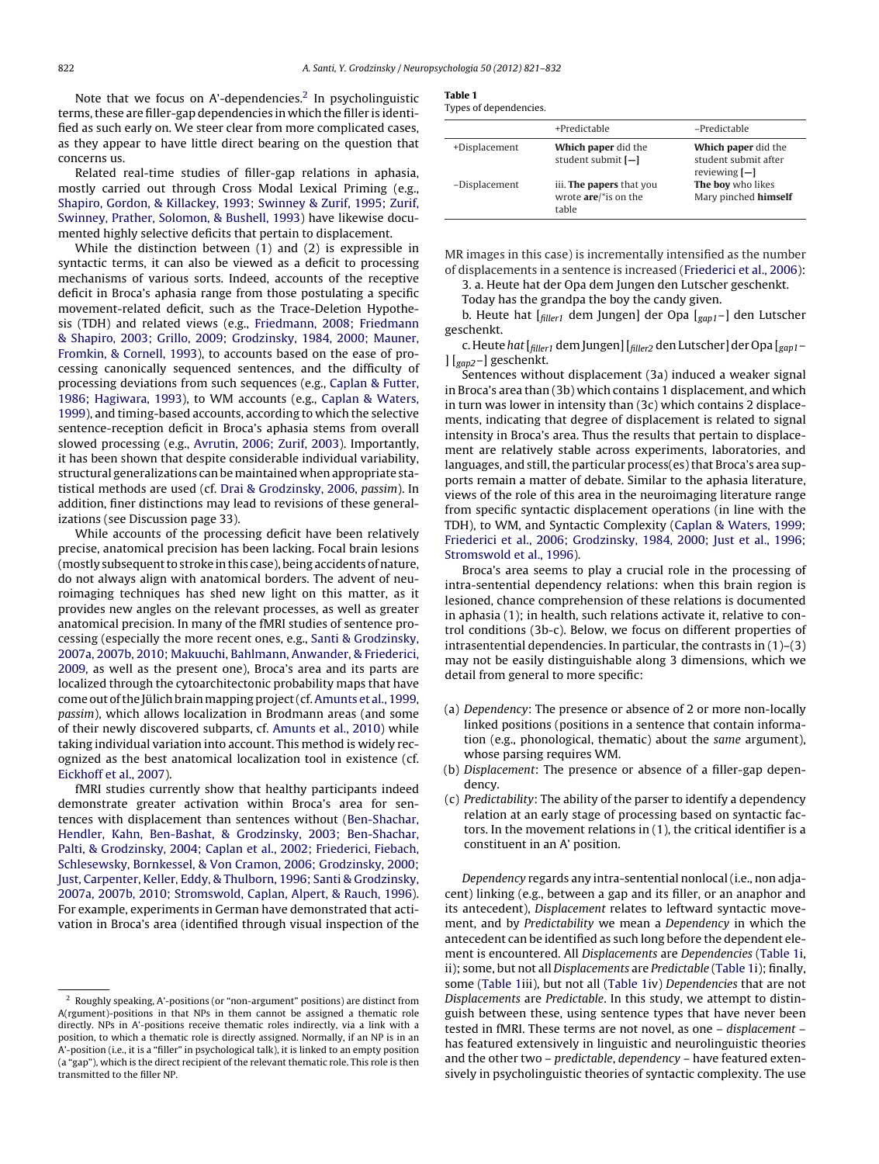Note that we focus on A'-dependencies.<sup>2</sup> In psycholinguistic terms,these are filler-gap dependencies in which the filler is identified as such early on. We steer clear from more complicated cases, as they appear to have little direct bearing on the question that concerns us.

Related real-time studies of filler-gap relations in aphasia, mostly carried out through Cross Modal Lexical Priming (e.g., [Shapiro,](#page-11-0) [Gordon,](#page-11-0) [&](#page-11-0) [Killackey,](#page-11-0) [1993;](#page-11-0) [Swinney](#page-11-0) [&](#page-11-0) [Zurif,](#page-11-0) [1995;](#page-11-0) [Zurif,](#page-11-0) [Swinney,](#page-11-0) [Prather,](#page-11-0) [Solomon,](#page-11-0) [&](#page-11-0) [Bushell,](#page-11-0) [1993\)](#page-11-0) have likewise documented highly selective deficits that pertain to displacement.

While the distinction between (1) and (2) is expressible in syntactic terms, it can also be viewed as a deficit to processing mechanisms of various sorts. Indeed, accounts of the receptive deficit in Broca's aphasia range from those postulating a specific movement-related deficit, such as the Trace-Deletion Hypothesis (TDH) and related views (e.g., [Friedmann,](#page-11-0) [2008;](#page-11-0) [Friedmann](#page-11-0) [&](#page-11-0) [Shapiro,](#page-11-0) [2003;](#page-11-0) [Grillo,](#page-11-0) [2009;](#page-11-0) [Grodzinsky,](#page-11-0) [1984,](#page-11-0) [2000;](#page-11-0) [Mauner,](#page-11-0) [Fromkin,](#page-11-0) [&](#page-11-0) [Cornell,](#page-11-0) [1993\),](#page-11-0) to accounts based on the ease of processing canonically sequenced sentences, and the difficulty of processing deviations from such sequences (e.g., [Caplan](#page-10-0) [&](#page-10-0) [Futter,](#page-10-0) [1986;](#page-10-0) [Hagiwara,](#page-10-0) [1993\),](#page-10-0) to WM accounts (e.g., [Caplan](#page-10-0) [&](#page-10-0) [Waters,](#page-10-0) [1999\),](#page-10-0) and timing-based accounts, according to which the selective sentence-reception deficit in Broca's aphasia stems from overall slowed processing (e.g., [Avrutin,](#page-10-0) [2006;](#page-10-0) [Zurif,](#page-10-0) [2003\).](#page-10-0) Importantly, it has been shown that despite considerable individual variability, structural generalizations can be maintained when appropriate statistical methods are used (cf. [Drai](#page-10-0) [&](#page-10-0) [Grodzinsky,](#page-10-0) [2006,](#page-10-0) passim). In addition, finer distinctions may lead to revisions of these generalizations (see Discussion page 33).

While accounts of the processing deficit have been relatively precise, anatomical precision has been lacking. Focal brain lesions (mostly subsequent to stroke in this case), being accidents of nature, do not always align with anatomical borders. The advent of neuroimaging techniques has shed new light on this matter, as it provides new angles on the relevant processes, as well as greater anatomical precision. In many of the fMRI studies of sentence processing (especially the more recent ones, e.g., [Santi](#page-11-0) [&](#page-11-0) [Grodzinsky,](#page-11-0) [2007a,](#page-11-0) [2007b,](#page-11-0) [2010;](#page-11-0) [Makuuchi,](#page-11-0) [Bahlmann,](#page-11-0) [Anwander,](#page-11-0) [&](#page-11-0) [Friederici,](#page-11-0) [2009,](#page-11-0) as well as the present one), Broca's area and its parts are localized through the cytoarchitectonic probability maps that have come out of the Jülich brain mapping project (cf. [Amunts](#page-10-0) et [al.,](#page-10-0) [1999,](#page-10-0) passim), which allows localization in Brodmann areas (and some of their newly discovered subparts, cf. [Amunts](#page-10-0) et [al.,](#page-10-0) [2010\)](#page-10-0) while taking individual variation into account. This method is widely recognized as the best anatomical localization tool in existence (cf. [Eickhoff](#page-10-0) et [al.,](#page-10-0) [2007\).](#page-10-0)

fMRI studies currently show that healthy participants indeed demonstrate greater activation within Broca's area for sentences with displacement than sentences without [\(Ben-Shachar,](#page-10-0) [Hendler,](#page-10-0) [Kahn,](#page-10-0) [Ben-Bashat,](#page-10-0) [&](#page-10-0) [Grodzinsky,](#page-10-0) [2003;](#page-10-0) [Ben-Shachar,](#page-10-0) [Palti,](#page-10-0) [&](#page-10-0) [Grodzinsky,](#page-10-0) [2004;](#page-10-0) [Caplan](#page-10-0) et [al.,](#page-10-0) [2002;](#page-10-0) [Friederici,](#page-10-0) [Fiebach,](#page-10-0) [Schlesewsky,](#page-10-0) [Bornkessel,](#page-10-0) [&](#page-10-0) [Von](#page-10-0) [Cramon,](#page-10-0) [2006;](#page-10-0) [Grodzinsky,](#page-10-0) [2000;](#page-10-0) [Just,](#page-10-0) [Carpenter,](#page-10-0) [Keller,](#page-10-0) [Eddy,](#page-10-0) [&](#page-10-0) [Thulborn,](#page-10-0) [1996;](#page-10-0) [Santi](#page-10-0) [&](#page-10-0) [Grodzinsky,](#page-10-0) [2007a,](#page-10-0) [2007b,](#page-10-0) [2010;](#page-10-0) [Stromswold,](#page-10-0) [Caplan,](#page-10-0) [Alpert,](#page-10-0) [&](#page-10-0) [Rauch,](#page-10-0) [1996\).](#page-10-0) For example, experiments in German have demonstrated that activation in Broca's area (identified through visual inspection of the

| Table 1 |                        |
|---------|------------------------|
|         | Types of dependencies. |

|               | +Predictable                                                 | -Predictable                                                   |
|---------------|--------------------------------------------------------------|----------------------------------------------------------------|
| +Displacement | Which paper did the<br>student submit [-]                    | Which paper did the<br>student submit after<br>reviewing $[-]$ |
| -Displacement | iii. The papers that you<br>wrote $are/$ *is on the<br>table | The boy who likes<br>Mary pinched <b>himself</b>               |

MR images in this case) is incrementally intensified as the number of displacements in a sentence is increased [\(Friederici](#page-11-0) et [al.,](#page-11-0) [2006\):](#page-11-0)

3. a. Heute hat der Opa dem Jungen den Lutscher geschenkt.

Today has the grandpa the boy the candy given.

b. Heute hat  $\left[$ <sub>filler1</sub> dem Jungen] der Opa  $\left[$ <sub>gap1</sub>- $\right]$  den Lutscher geschenkt.

c. Heute hat [ $_{\text{filler1}}$  dem Jungen] [ $_{\text{filler2}}$  den Lutscher] der Opa [ $_{\text{gap1}}$ -] [gap2–] geschenkt.

Sentences without displacement (3a) induced a weaker signal in Broca's area than (3b) which contains 1 displacement, and which in turn was lower in intensity than (3c) which contains 2 displacements, indicating that degree of displacement is related to signal intensity in Broca's area. Thus the results that pertain to displacement are relatively stable across experiments, laboratories, and languages, and still, the particular process(es) that Broca's area supports remain a matter of debate. Similar to the aphasia literature, views of the role of this area in the neuroimaging literature range from specific syntactic displacement operations (in line with the TDH), to WM, and Syntactic Complexity ([Caplan](#page-10-0) [&](#page-10-0) [Waters,](#page-10-0) [1999;](#page-10-0) [Friederici](#page-10-0) et [al.,](#page-10-0) [2006;](#page-10-0) [Grodzinsky,](#page-10-0) [1984,](#page-10-0) [2000;](#page-10-0) [Just](#page-10-0) et [al.,](#page-10-0) [1996;](#page-10-0) [Stromswold](#page-10-0) et [al.,](#page-10-0) [1996\).](#page-10-0)

Broca's area seems to play a crucial role in the processing of intra-sentential dependency relations: when this brain region is lesioned, chance comprehension of these relations is documented in aphasia (1); in health, such relations activate it, relative to control conditions (3b-c). Below, we focus on different properties of intrasentential dependencies. In particular, the contrasts in (1)–(3) may not be easily distinguishable along 3 dimensions, which we detail from general to more specific:

- (a) Dependency: The presence or absence of 2 or more non-locally linked positions (positions in a sentence that contain information (e.g., phonological, thematic) about the same argument), whose parsing requires WM.
- (b) Displacement: The presence or absence of a filler-gap dependency.
- (c) Predictability: The ability of the parser to identify a dependency relation at an early stage of processing based on syntactic factors. In the movement relations in (1), the critical identifier is a constituent in an A' position.

Dependency regards any intra-sentential nonlocal(i.e., non adjacent) linking (e.g., between a gap and its filler, or an anaphor and its antecedent), Displacement relates to leftward syntactic movement, and by Predictability we mean a Dependency in which the antecedent can be identified as such long before the dependent element is encountered. All Displacements are Dependencies (Table 1i, ii); some, but not all Displacements are Predictable (Table 1i); finally, some (Table 1iii), but not all (Table 1iv) Dependencies that are not Displacements are Predictable. In this study, we attempt to distinguish between these, using sentence types that have never been tested in fMRI. These terms are not novel, as one – displacement – has featured extensively in linguistic and neurolinguistic theories and the other two – predictable, dependency – have featured extensively in psycholinguistic theories of syntactic complexity. The use

<sup>2</sup> Roughly speaking, A'-positions (or "non-argument" positions) are distinct from A(rgument)-positions in that NPs in them cannot be assigned a thematic role directly. NPs in A'-positions receive thematic roles indirectly, via a link with a position, to which a thematic role is directly assigned. Normally, if an NP is in an A'-position (i.e., it is a "filler" in psychological talk), it is linked to an empty position (a "gap"), which is the direct recipient of the relevant thematic role. This role is then transmitted to the filler NP.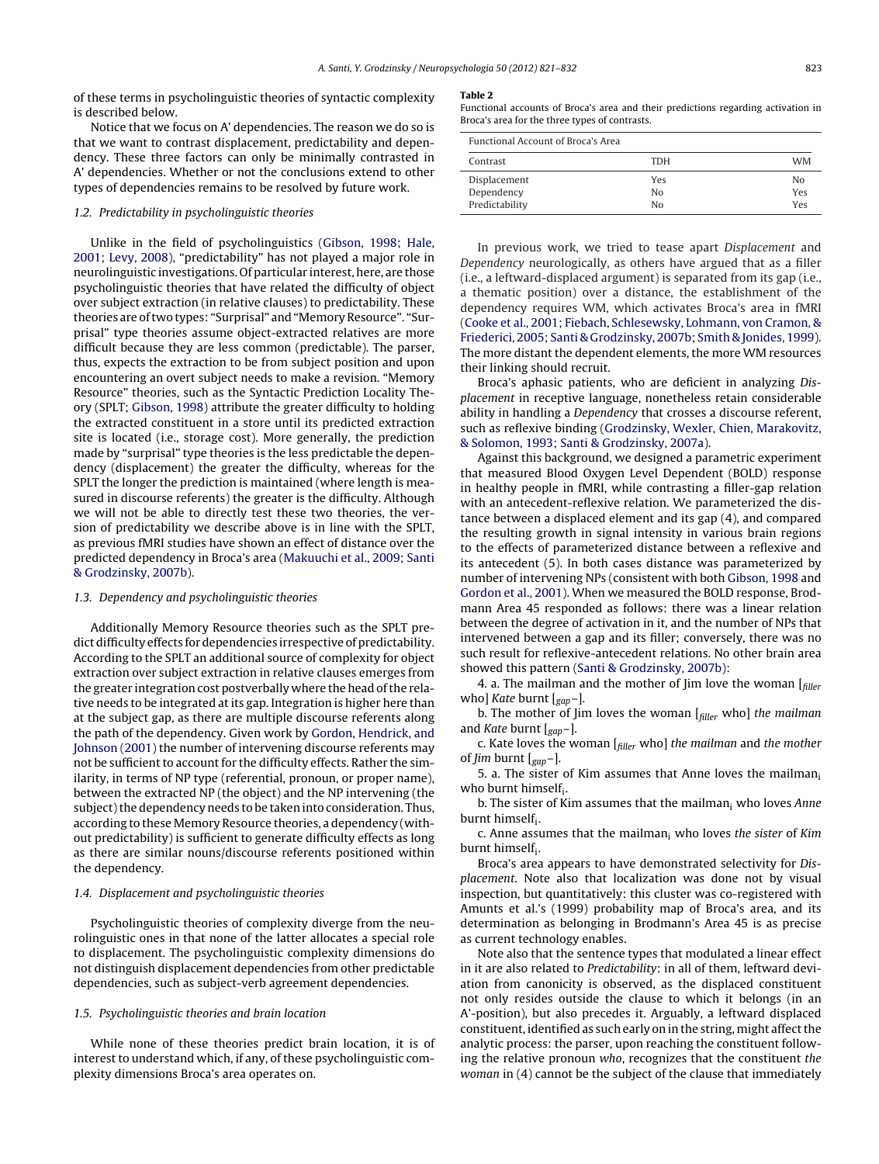<span id="page-2-0"></span>of these terms in psycholinguistic theories of syntactic complexity is described below.

Notice that we focus on A' dependencies. The reason we do so is that we want to contrast displacement, predictability and dependency. These three factors can only be minimally contrasted in A' dependencies. Whether or not the conclusions extend to other types of dependencies remains to be resolved by future work.

### 1.2. Predictability in psycholinguistic theories

Unlike in the field of psycholinguistics ([Gibson,](#page-11-0) [1998;](#page-11-0) [Hale,](#page-11-0) [2001;](#page-11-0) [Levy,](#page-11-0) [2008\),](#page-11-0) "predictability" has not played a major role in neurolinguistic investigations. Of particular interest, here, are those psycholinguistic theories that have related the difficulty of object over subject extraction (in relative clauses) to predictability. These theories are of two types: "Surprisal" and "Memory Resource". "Surprisal" type theories assume object-extracted relatives are more difficult because they are less common (predictable). The parser, thus, expects the extraction to be from subject position and upon encountering an overt subject needs to make a revision. "Memory Resource" theories, such as the Syntactic Prediction Locality Theory (SPLT; [Gibson,](#page-11-0) [1998\)](#page-11-0) attribute the greater difficulty to holding the extracted constituent in a store until its predicted extraction site is located (i.e., storage cost). More generally, the prediction made by "surprisal" type theories is the less predictable the dependency (displacement) the greater the difficulty, whereas for the SPLT the longer the prediction is maintained (where length is measured in discourse referents) the greater is the difficulty. Although we will not be able to directly test these two theories, the version of predictability we describe above is in line with the SPLT, as previous fMRI studies have shown an effect of distance over the predicted dependency in Broca's area [\(Makuuchi](#page-11-0) et [al.,](#page-11-0) [2009;](#page-11-0) [Santi](#page-11-0) [&](#page-11-0) [Grodzinsky,](#page-11-0) [2007b\).](#page-11-0)

### 1.3. Dependency and psycholinguistic theories

Additionally Memory Resource theories such as the SPLT predict difficulty effects for dependencies irrespective of predictability. According to the SPLT an additional source of complexity for object extraction over subject extraction in relative clauses emerges from the greater integration cost postverbally where the head of the relative needs to be integrated atits gap. Integration is higher here than at the subject gap, as there are multiple discourse referents along the path of the dependency. Given work by [Gordon,](#page-11-0) [Hendrick,](#page-11-0) [and](#page-11-0) [Johnson](#page-11-0) [\(2001\)](#page-11-0) the number of intervening discourse referents may not be sufficient to account for the difficulty effects. Rather the similarity, in terms of NP type (referential, pronoun, or proper name), between the extracted NP (the object) and the NP intervening (the subject) the dependency needs to be taken into consideration. Thus, according to these Memory Resource theories, a dependency (without predictability) is sufficient to generate difficulty effects as long as there are similar nouns/discourse referents positioned within the dependency.

### 1.4. Displacement and psycholinguistic theories

Psycholinguistic theories of complexity diverge from the neurolinguistic ones in that none of the latter allocates a special role to displacement. The psycholinguistic complexity dimensions do not distinguish displacement dependencies from other predictable dependencies, such as subject-verb agreement dependencies.

### 1.5. Psycholinguistic theories and brain location

While none of these theories predict brain location, it is of interest to understand which, if any, of these psycholinguistic complexity dimensions Broca's area operates on.

#### **Table 2**

Functional accounts of Broca's area and their predictions regarding activation in Broca's area for the three types of contrasts.

| <b>Functional Account of Broca's Area</b> |  |
|-------------------------------------------|--|
|-------------------------------------------|--|

| Contrast                                     | <b>TDH</b>      | <b>WM</b>        |
|----------------------------------------------|-----------------|------------------|
| Displacement<br>Dependency<br>Predictability | Yes<br>No<br>No | No<br>Yes<br>Yes |
|                                              |                 |                  |

In previous work, we tried to tease apart Displacement and Dependency neurologically, as others have argued that as a filler (i.e., a leftward-displaced argument) is separated from its gap (i.e., a thematic position) over a distance, the establishment of the dependency requires WM, which activates Broca's area in fMRI [\(Cooke](#page-10-0) et [al.,](#page-10-0) [2001;](#page-10-0) [Fiebach,](#page-10-0) [Schlesewsky,](#page-10-0) [Lohmann,](#page-10-0) [von](#page-10-0) [Cramon,](#page-10-0) [&](#page-10-0) [Friederici,](#page-10-0) [2005;](#page-10-0) [Santi](#page-10-0) [&](#page-10-0) [Grodzinsky,](#page-10-0) [2007b;](#page-10-0) [Smith](#page-10-0) [&](#page-10-0) [Jonides,](#page-10-0) [1999\).](#page-10-0) The more distant the dependent elements, the more WM resources their linking should recruit.

Broca's aphasic patients, who are deficient in analyzing Displacement in receptive language, nonetheless retain considerable ability in handling a Dependency that crosses a discourse referent, such as reflexive binding ([Grodzinsky,](#page-11-0) [Wexler,](#page-11-0) [Chien,](#page-11-0) [Marakovitz,](#page-11-0) [&](#page-11-0) [Solomon,](#page-11-0) [1993;](#page-11-0) [Santi](#page-11-0) [&](#page-11-0) [Grodzinsky,](#page-11-0) [2007a\).](#page-11-0)

Against this background, we designed a parametric experiment that measured Blood Oxygen Level Dependent (BOLD) response in healthy people in fMRI, while contrasting a filler-gap relation with an antecedent-reflexive relation. We parameterized the distance between a displaced element and its gap (4), and compared the resulting growth in signal intensity in various brain regions to the effects of parameterized distance between a reflexive and its antecedent (5). In both cases distance was parameterized by number of intervening NPs (consistent with both [Gibson,](#page-11-0) [1998](#page-11-0) and [Gordon](#page-11-0) et [al.,](#page-11-0) [2001\).](#page-11-0) When we measured the BOLD response, Brodmann Area 45 responded as follows: there was a linear relation between the degree of activation in it, and the number of NPs that intervened between a gap and its filler; conversely, there was no such result for reflexive-antecedent relations. No other brain area showed this pattern ([Santi](#page-11-0) [&](#page-11-0) [Grodzinsky,](#page-11-0) [2007b\):](#page-11-0)

4. a. The mailman and the mother of Jim love the woman  $\int$  *filler* who] Kate burnt  $[g_{ap}$ –].

b. The mother of Jim loves the woman  $[f_{\text{filter}}$  who] the mailman and *Kate* burnt  $[g_{ap}$ –].

c. Kate loves the woman  $\int_{\text{filler}}$  who] the mailman and the mother of *Jim* burnt  $[g_{ap}$ –].

5. a. The sister of Kim assumes that Anne loves the mailman $<sub>i</sub>$ </sub> who burnt himself<sub>i</sub>.

b. The sister of Kim assumes that the mailman<sub>i</sub> who loves Anne burnt himselfi.

c. Anne assumes that the mailman<sub>i</sub> who loves the sister of Kim burnt himselfi.

Broca's area appears to have demonstrated selectivity for Displacement. Note also that localization was done not by visual inspection, but quantitatively: this cluster was co-registered with Amunts et al.'s (1999) probability map of Broca's area, and its determination as belonging in Brodmann's Area 45 is as precise as current technology enables.

Note also that the sentence types that modulated a linear effect in it are also related to Predictability: in all of them, leftward deviation from canonicity is observed, as the displaced constituent not only resides outside the clause to which it belongs (in an A'-position), but also precedes it. Arguably, a leftward displaced constituent, identified as such early on in the string, might affect the analytic process: the parser, upon reaching the constituent following the relative pronoun who, recognizes that the constituent the woman in (4) cannot be the subject of the clause that immediately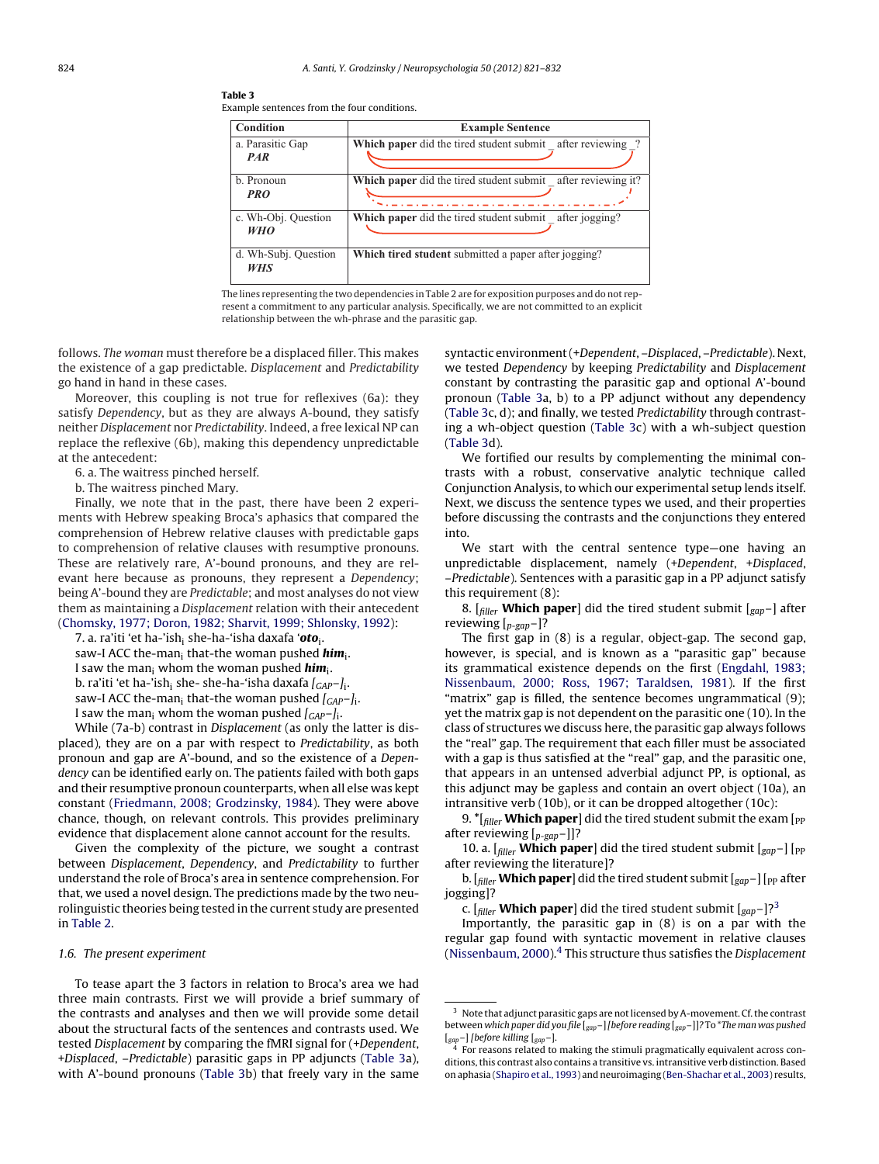<span id="page-3-0"></span>

Example sentences from the four conditions.

| Condition                          | <b>Example Sentence</b>                                             |
|------------------------------------|---------------------------------------------------------------------|
| a. Parasitic Gap<br>PAR            | Which paper did the tired student submit after reviewing?           |
| b. Pronoun<br><b>PRO</b>           | <b>Which paper</b> did the tired student submit after reviewing it? |
| c. Wh-Obj. Question<br><b>WHO</b>  | <b>Which paper</b> did the tired student submit after jogging?      |
| d. Wh-Subj. Question<br><b>WHS</b> | Which tired student submitted a paper after jogging?                |

The lines representing the two dependencies in Table 2 are for exposition purposes and do not represent a commitment to any particular analysis. Specifically, we are not committed to an explicit relationship between the wh-phrase and the parasitic gap.

follows. The woman must therefore be a displaced filler. This makes the existence of a gap predictable. Displacement and Predictability go hand in hand in these cases.

Moreover, this coupling is not true for reflexives (6a): they satisfy Dependency, but as they are always A-bound, they satisfy neither Displacement nor Predictability. Indeed, a free lexical NP can replace the reflexive (6b), making this dependency unpredictable at the antecedent:

6. a. The waitress pinched herself.

b. The waitress pinched Mary.

Finally, we note that in the past, there have been 2 experiments with Hebrew speaking Broca's aphasics that compared the comprehension of Hebrew relative clauses with predictable gaps to comprehension of relative clauses with resumptive pronouns. These are relatively rare, A'-bound pronouns, and they are relevant here because as pronouns, they represent a Dependency; being A'-bound they are Predictable; and most analyses do not view them as maintaining a Displacement relation with their antecedent ([Chomsky,](#page-10-0) [1977;](#page-10-0) [Doron,](#page-10-0) [1982;](#page-10-0) [Sharvit,](#page-10-0) [1999;](#page-10-0) [Shlonsky,](#page-10-0) [1992\):](#page-10-0)

7. a. ra'iti 'et ha-'ishi she-ha-'isha daxafa '**oto**i.

saw-I ACC the-man<sub>i</sub> that-the woman pushed **him**<sub>i</sub>.

I saw the man<sub>i</sub> whom the woman pushed  $him_i$ .

b. ra'iti 'et ha-'ish<sub>i</sub> she- she-ha-'isha daxafa  $\left[\frac{GAP}{I}\right]$ .

saw-I ACC the-man<sub>i</sub> that-the woman pushed  $[*GAP*-]<sub>i</sub>$ .

I saw the man<sub>i</sub> whom the woman pushed  $[*_{GAP}-*]<sub>i</sub>$ .

While (7a-b) contrast in Displacement (as only the latter is displaced), they are on a par with respect to Predictability, as both pronoun and gap are A'-bound, and so the existence of a Dependency can be identified early on. The patients failed with both gaps and their resumptive pronoun counterparts, when all else was kept constant ([Friedmann,](#page-11-0) [2008;](#page-11-0) [Grodzinsky,](#page-11-0) [1984\).](#page-11-0) They were above chance, though, on relevant controls. This provides preliminary evidence that displacement alone cannot account for the results.

Given the complexity of the picture, we sought a contrast between Displacement, Dependency, and Predictability to further understand the role of Broca's area in sentence comprehension. For that, we used a novel design. The predictions made by the two neurolinguistic theories being tested in the current study are presented in [Table](#page-2-0) 2.

### 1.6. The present experiment

To tease apart the 3 factors in relation to Broca's area we had three main contrasts. First we will provide a brief summary of the contrasts and analyses and then we will provide some detail about the structural facts of the sentences and contrasts used. We tested Displacement by comparing the fMRI signal for (+Dependent, +Displaced, –Predictable) parasitic gaps in PP adjuncts (Table 3a), with A'-bound pronouns (Table 3b) that freely vary in the same

syntactic environment(+Dependent, –Displaced, –Predictable). Next, we tested Dependency by keeping Predictability and Displacement constant by contrasting the parasitic gap and optional A'-bound pronoun (Table 3a, b) to a PP adjunct without any dependency (Table 3c, d); and finally, we tested Predictability through contrasting a wh-object question (Table 3c) with a wh-subject question (Table 3d).

We fortified our results by complementing the minimal contrasts with a robust, conservative analytic technique called Conjunction Analysis, to which our experimental setup lends itself. Next, we discuss the sentence types we used, and their properties before discussing the contrasts and the conjunctions they entered into.

We start with the central sentence type—one having an unpredictable displacement, namely (+Dependent, +Displaced, –Predictable). Sentences with a parasitic gap in a PP adjunct satisfy this requirement (8):

8. [filler **Which paper**] did the tired student submit [gap–] after reviewing  $[p_{\text{-}gap}$ -]?

The first gap in (8) is a regular, object-gap. The second gap, however, is special, and is known as a "parasitic gap" because its grammatical existence depends on the first [\(Engdahl,](#page-10-0) [1983;](#page-10-0) [Nissenbaum,](#page-10-0) [2000;](#page-10-0) [Ross,](#page-10-0) [1967;](#page-10-0) [Taraldsen,](#page-10-0) [1981\).](#page-10-0) If the first "matrix" gap is filled, the sentence becomes ungrammatical (9); yet the matrix gap is not dependent on the parasitic one (10). In the class of structures we discuss here, the parasitic gap always follows the "real" gap. The requirement that each filler must be associated with a gap is thus satisfied at the "real" gap, and the parasitic one, that appears in an untensed adverbial adjunct PP, is optional, as this adjunct may be gapless and contain an overt object (10a), an intransitive verb (10b), or it can be dropped altogether (10c):

9. *\**[ $_{\text{filler}}$  **Which paper**] did the tired student submit the exam [ $_{\text{PP}}$ after reviewing  $[p_{\text{-}gap}-]]$ ?

10. a.  $\left[\begin{array}{cc}f_{\text{filter}}\end{array}\right]$  **Which paper** did the tired student submit  $\left[\begin{array}{cc}g_{\text{ap}}\end{array}\right]\left[\begin{array}{cc}p_{\text{p}}\end{array}\right]$ after reviewing the literature]?

b.  $\left[f\right]$  [filler **Which paper**] did the tired student submit  $\left[g_{ap} - g\right]$  [<sub>PP</sub> after jogging]?

c.  $\left[\text{filter } \textbf{Which paper}\right]$  did the tired student submit  $\left[\text{gap} - \right]^3$ 

Importantly, the parasitic gap in (8) is on a par with the regular gap found with syntactic movement in relative clauses [\(Nissenbaum,](#page-11-0)  $2000$ ).<sup>4</sup> This structure thus satisfies the *Displacement* 

 $3$  Note that adjunct parasitic gaps are not licensed by A-movement. Cf. the contrast between which paper did you file  $[g_{ap} -]$  [before reading  $[g_{ap} -]$ ]? To \*The man was pushed

 $\left[\begin{smallmatrix}g_{ap}\g_1\end{smallmatrix}\right]$  [before killing  $\left[\begin{smallmatrix}g_{ap}\g_2\end{smallmatrix}\right]$ .<br><sup>4</sup> For reasons related to making the stimuli pragmatically equivalent across conditions,this contrast also contains a transitive vs. intransitive verb distinction. Based on aphasia [\(Shapiro](#page-11-0) et [al.,](#page-11-0) [1993\)](#page-11-0) and neuroimaging ([Ben-Shachar](#page-10-0) et [al.,](#page-10-0) [2003\)](#page-10-0) results,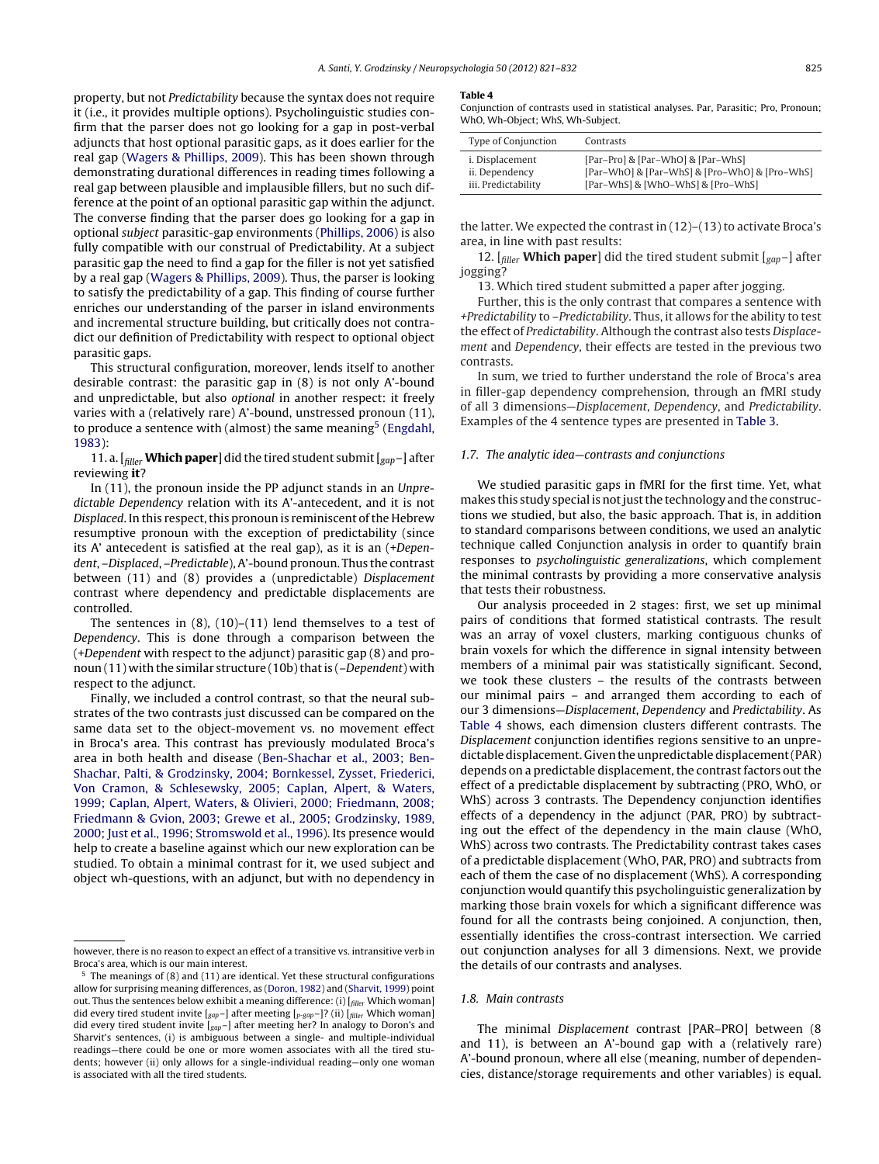property, but not Predictability because the syntax does not require it (i.e., it provides multiple options). Psycholinguistic studies confirm that the parser does not go looking for a gap in post-verbal adjuncts that host optional parasitic gaps, as it does earlier for the real gap ([Wagers](#page-11-0) [&](#page-11-0) [Phillips,](#page-11-0) [2009\).](#page-11-0) This has been shown through demonstrating durational differences in reading times following a real gap between plausible and implausible fillers, but no such difference at the point of an optional parasitic gap within the adjunct. The converse finding that the parser does go looking for a gap in optional subject parasitic-gap environments [\(Phillips,](#page-11-0) [2006\)](#page-11-0) is also fully compatible with our construal of Predictability. At a subject parasitic gap the need to find a gap for the filler is not yet satisfied by a real gap [\(Wagers](#page-11-0) [&](#page-11-0) [Phillips,](#page-11-0) [2009\).](#page-11-0) Thus, the parser is looking to satisfy the predictability of a gap. This finding of course further enriches our understanding of the parser in island environments and incremental structure building, but critically does not contradict our definition of Predictability with respect to optional object parasitic gaps.

This structural configuration, moreover, lends itself to another desirable contrast: the parasitic gap in (8) is not only A'-bound and unpredictable, but also optional in another respect: it freely varies with a (relatively rare) A'-bound, unstressed pronoun (11), to produce a sentence with (almost) the same meaning<sup>5</sup> [\(Engdahl,](#page-10-0) [1983\):](#page-10-0)

11. a.[filler **Which paper**] did the tired student submit[gap–] after reviewing **it**?

In (11), the pronoun inside the PP adjunct stands in an Unpredictable Dependency relation with its A'-antecedent, and it is not Displaced. In this respect, this pronoun is reminiscent of the Hebrew resumptive pronoun with the exception of predictability (since its A' antecedent is satisfied at the real gap), as it is an (+Dependent, -Displaced, -Predictable), A'-bound pronoun. Thus the contrast between (11) and (8) provides a (unpredictable) Displacement contrast where dependency and predictable displacements are controlled.

The sentences in  $(8)$ ,  $(10)$ – $(11)$  lend themselves to a test of Dependency. This is done through a comparison between the (+Dependent with respect to the adjunct) parasitic gap (8) and pronoun  $(11)$  with the similar structure  $(10b)$  that is  $(-Dependent)$  with respect to the adjunct.

Finally, we included a control contrast, so that the neural substrates of the two contrasts just discussed can be compared on the same data set to the object-movement vs. no movement effect in Broca's area. This contrast has previously modulated Broca's area in both health and disease [\(Ben-Shachar](#page-10-0) et [al.,](#page-10-0) [2003;](#page-10-0) Ben-Shachar, [Palti,](#page-10-0) [&](#page-10-0) [Grodzinsky,](#page-10-0) [2004;](#page-10-0) [Bornkessel,](#page-10-0) [Zysset,](#page-10-0) [Friederici,](#page-10-0) [Von](#page-10-0) [Cramon,](#page-10-0) [&](#page-10-0) [Schlesewsky,](#page-10-0) [2005;](#page-10-0) [Caplan,](#page-10-0) [Alpert,](#page-10-0) [&](#page-10-0) [Waters,](#page-10-0) [1999;](#page-10-0) [Caplan,](#page-10-0) [Alpert,](#page-10-0) [Waters,](#page-10-0) [&](#page-10-0) [Olivieri,](#page-10-0) [2000;](#page-10-0) [Friedmann,](#page-10-0) [2008;](#page-10-0) [Friedmann](#page-10-0) [&](#page-10-0) [Gvion,](#page-10-0) [2003;](#page-10-0) [Grewe](#page-10-0) et [al.,](#page-10-0) [2005;](#page-10-0) [Grodzinsky,](#page-10-0) [1989,](#page-10-0) [2000;](#page-10-0) [Just](#page-10-0) et [al.,](#page-10-0) [1996;](#page-10-0) [Stromswold](#page-10-0) et [al.,](#page-10-0) [1996\).](#page-10-0) Its presence would help to create a baseline against which our new exploration can be studied. To obtain a minimal contrast for it, we used subject and object wh-questions, with an adjunct, but with no dependency in

#### **Table 4**

Conjunction of contrasts used in statistical analyses. Par, Parasitic; Pro, Pronoun; WhO, Wh-Object; WhS, Wh-Subject.

| Type of Conjunction | Contrasts                                     |
|---------------------|-----------------------------------------------|
| i. Displacement     | [Par-Pro] & [Par-WhO] & [Par-WhS]             |
| ii. Dependency      | [Par-WhO] & [Par-WhS] & [Pro-WhO] & [Pro-WhS] |
| iii. Predictability | [Par-WhS] & [WhO-WhS] & [Pro-WhS]             |

the latter. We expected the contrast in (12)–(13) to activate Broca's area, in line with past results:

12.  $[f\text{eller}\space \text{Which paper}]$  did the tired student submit  $[gap -]$  after jogging?

13. Which tired student submitted a paper after jogging.

Further, this is the only contrast that compares a sentence with +Predictability to –Predictability. Thus, it allows for the ability to test the effect of Predictability. Although the contrast also tests Displacement and Dependency, their effects are tested in the previous two contrasts.

In sum, we tried to further understand the role of Broca's area in filler-gap dependency comprehension, through an fMRI study of all 3 dimensions—Displacement, Dependency, and Predictability. Examples of the 4 sentence types are presented in [Table](#page-3-0) 3.

### 1.7. The analytic idea—contrasts and conjunctions

We studied parasitic gaps in fMRI for the first time. Yet, what makes this study special is not just the technology and the constructions we studied, but also, the basic approach. That is, in addition to standard comparisons between conditions, we used an analytic technique called Conjunction analysis in order to quantify brain responses to psycholinguistic generalizations, which complement the minimal contrasts by providing a more conservative analysis that tests their robustness.

Our analysis proceeded in 2 stages: first, we set up minimal pairs of conditions that formed statistical contrasts. The result was an array of voxel clusters, marking contiguous chunks of brain voxels for which the difference in signal intensity between members of a minimal pair was statistically significant. Second, we took these clusters – the results of the contrasts between our minimal pairs – and arranged them according to each of our 3 dimensions—Displacement, Dependency and Predictability. As Table 4 shows, each dimension clusters different contrasts. The Displacement conjunction identifies regions sensitive to an unpre[dictab](#page-10-0)le displacement. Given the unpredictable displacement (PAR) depends on a predictable displacement, the contrast factors out the effect of a predictable displacement by subtracting (PRO, WhO, or WhS) across 3 contrasts. The Dependency conjunction identifies effects of a dependency in the adjunct (PAR, PRO) by subtracting out the effect of the dependency in the main clause (WhO, WhS) across two contrasts. The Predictability contrast takes cases of a predictable displacement (WhO, PAR, PRO) and subtracts from each of them the case of no displacement (WhS). A corresponding conjunction would quantify this psycholinguistic generalization by marking those brain voxels for which a significant difference was found for all the contrasts being conjoined. A conjunction, then, essentially identifies the cross-contrast intersection. We carried out conjunction analyses for all 3 dimensions. Next, we provide the details of our contrasts and analyses.

### 1.8. Main contrasts

The minimal Displacement contrast [PAR–PRO] between (8 and 11), is between an A'-bound gap with a (relatively rare) A'-bound pronoun, where all else (meaning, number of dependencies, distance/storage requirements and other variables) is equal.

however, there is no reason to expect an effect of a transitive vs. intransitive verb in Broca's area, which is our main interest.

<sup>5</sup> The meanings of (8) and (11) are identical. Yet these structural configurations allow for surprising meaning differences, as [\(Doron,](#page-10-0) [1982\)](#page-10-0) and [\(Sharvit,](#page-11-0) [1999\)](#page-11-0) point out. Thus the sentences below exhibit a meaning difference: (i)  $\int_{filter}$  Which woman] did every tired student invite  $[g_{ap}$ –] after meeting  $[p_{-gap}$ –]? (ii)  $[g_{\text{ller}}$  Which woman] did every tired student invite  $[g_{ap}$ –] after meeting her? In analogy to Doron's and Sharvit's sentences, (i) is ambiguous between a single- and multiple-individual readings—there could be one or more women associates with all the tired students; however (ii) only allows for a single-individual reading—only one woman is associated with all the tired students.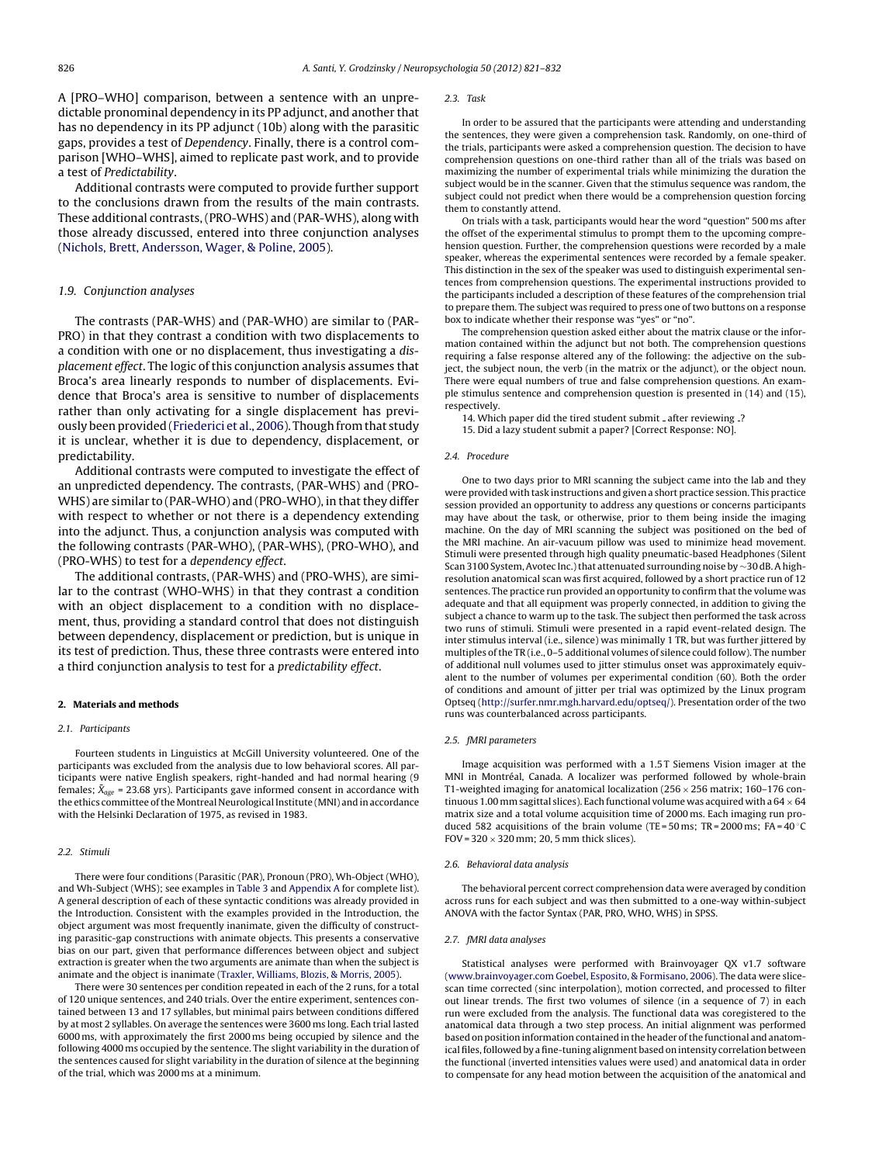A [PRO–WHO] comparison, between a sentence with an unpredictable pronominal dependency in its PP adjunct, and another that has no dependency in its PP adjunct (10b) along with the parasitic gaps, provides a test of Dependency. Finally, there is a control comparison [WHO–WHS], aimed to replicate past work, and to provide a test of Predictability.

Additional contrasts were computed to provide further support to the conclusions drawn from the results of the main contrasts. These additional contrasts,(PRO-WHS) and (PAR-WHS), along with those already discussed, entered into three conjunction analyses ([Nichols,](#page-11-0) [Brett,](#page-11-0) [Andersson,](#page-11-0) [Wager,](#page-11-0) [&](#page-11-0) [Poline,](#page-11-0) [2005\).](#page-11-0)

#### 1.9. Conjunction analyses

The contrasts (PAR-WHS) and (PAR-WHO) are similar to (PAR-PRO) in that they contrast a condition with two displacements to a condition with one or no displacement, thus investigating a displacement effect. The logic of this conjunction analysis assumes that Broca's area linearly responds to number of displacements. Evidence that Broca's area is sensitive to number of displacements rather than only activating for a single displacement has previously been provided [\(Friederici](#page-11-0) et [al.,](#page-11-0) [2006\).](#page-11-0) Though fromthat study it is unclear, whether it is due to dependency, displacement, or predictability.

Additional contrasts were computed to investigate the effect of an unpredicted dependency. The contrasts, (PAR-WHS) and (PRO-WHS) are similar to (PAR-WHO) and (PRO-WHO), in that they differ with respect to whether or not there is a dependency extending into the adjunct. Thus, a conjunction analysis was computed with the following contrasts (PAR-WHO), (PAR-WHS), (PRO-WHO), and (PRO-WHS) to test for a dependency effect.

The additional contrasts, (PAR-WHS) and (PRO-WHS), are similar to the contrast (WHO-WHS) in that they contrast a condition with an object displacement to a condition with no displacement, thus, providing a standard control that does not distinguish between dependency, displacement or prediction, but is unique in its test of prediction. Thus, these three contrasts were entered into a third conjunction analysis to test for a predictability effect.

#### **2. Materials and methods**

#### 2.1. Participants

Fourteen students in Linguistics at McGill University volunteered. One of the participants was excluded from the analysis due to low behavioral scores. All participants were native English speakers, right-handed and had normal hearing (9 females;  $\bar{X}_{age}$  = 23.68 yrs). Participants gave informed consent in accordance with the ethics committee ofthe Montreal Neurological Institute (MNI) and in accordance with the Helsinki Declaration of 1975, as revised in 1983.

### 2.2. Stimuli

There were four conditions (Parasitic (PAR), Pronoun (PRO), Wh-Object (WHO), and Wh-Subject (WHS); see examples in [Table](#page-3-0) 3 and [Appendix](#page-10-0) [A](#page-10-0) for complete list). A general description of each of these syntactic conditions was already provided in the Introduction. Consistent with the examples provided in the Introduction, the object argument was most frequently inanimate, given the difficulty of constructing parasitic-gap constructions with animate objects. This presents a conservative bias on our part, given that performance differences between object and subject extraction is greater when the two arguments are animate than when the subject is animate and the object is inanimate [\(Traxler,](#page-11-0) [Williams,](#page-11-0) [Blozis,](#page-11-0) [&](#page-11-0) [Morris,](#page-11-0) [2005\).](#page-11-0)

There were 30 sentences per condition repeated in each of the 2 runs, for a total of 120 unique sentences, and 240 trials. Over the entire experiment, sentences contained between 13 and 17 syllables, but minimal pairs between conditions differed by at most 2 syllables. On average the sentences were 3600 ms long. Each trial lasted 6000 ms, with approximately the first 2000 ms being occupied by silence and the following 4000 ms occupied by the sentence. The slight variability in the duration of the sentences caused for slight variability in the duration of silence at the beginning of the trial, which was 2000 ms at a minimum.

#### $2.3$  Task

In order to be assured that the participants were attending and understanding the sentences, they were given a comprehension task. Randomly, on one-third of the trials, participants were asked a comprehension question. The decision to have comprehension questions on one-third rather than all of the trials was based on maximizing the number of experimental trials while minimizing the duration the subject would be in the scanner. Given that the stimulus sequence was random, the subject could not predict when there would be a comprehension question forcing them to constantly attend.

On trials with a task, participants would hear the word "question" 500 ms after the offset of the experimental stimulus to prompt them to the upcoming comprehension question. Further, the comprehension questions were recorded by a male speaker, whereas the experimental sentences were recorded by a female speaker. This distinction in the sex of the speaker was used to distinguish experimental sentences from comprehension questions. The experimental instructions provided to the participants included a description of these features of the comprehension trial to prepare them. The subject was required to press one of two buttons on a response box to indicate whether their response was "yes" or "no".

The comprehension question asked either about the matrix clause or the information contained within the adjunct but not both. The comprehension questions requiring a false response altered any of the following: the adjective on the subject, the subject noun, the verb (in the matrix or the adjunct), or the object noun. There were equal numbers of true and false comprehension questions. An example stimulus sentence and comprehension question is presented in (14) and (15), respectively.

14. Which paper did the tired student submit \_ after reviewing \_? 15. Did a lazy student submit a paper? [Correct Response: NO].

#### 2.4. Procedure

One to two days prior to MRI scanning the subject came into the lab and they were provided with task instructions and given a short practice session. This practice session provided an opportunity to address any questions or concerns participants may have about the task, or otherwise, prior to them being inside the imaging machine. On the day of MRI scanning the subject was positioned on the bed of the MRI machine. An air-vacuum pillow was used to minimize head movement. Stimuli were presented through high quality pneumatic-based Headphones (Silent Scan 3100 System, Avotec Inc.) that attenuated surrounding noise by ∼30 dB. A highresolution anatomical scan was first acquired, followed by a short practice run of 12 sentences. The practice run provided an opportunity to confirm that the volume was adequate and that all equipment was properly connected, in addition to giving the subject a chance to warm up to the task. The subject then performed the task across two runs of stimuli. Stimuli were presented in a rapid event-related design. The inter stimulus interval (i.e., silence) was minimally 1 TR, but was further jittered by multiples of the TR (i.e., 0-5 additional volumes of silence could follow). The number of additional null volumes used to jitter stimulus onset was approximately equivalent to the number of volumes per experimental condition (60). Both the order of conditions and amount of jitter per trial was optimized by the Linux program Optseq (<http://surfer.nmr.mgh.harvard.edu/optseq/>). Presentation order of the two runs was counterbalanced across participants.

#### 2.5. fMRI parameters

Image acquisition was performed with a 1.5 T Siemens Vision imager at the MNI in Montréal, Canada. A localizer was performed followed by whole-brain T1-weighted imaging for anatomical localization (256  $\times$  256 matrix; 160-176 continuous 1.00 mm sagittal slices). Each functional volume was acquired with a  $64 \times 64$ matrix size and a total volume acquisition time of 2000 ms. Each imaging run produced 582 acquisitions of the brain volume (TE = 50 ms; TR = 2000 ms; FA =  $40^{\circ}$ C FOV =  $320 \times 320$  mm; 20, 5 mm thick slices).

#### 2.6. Behavioral data analysis

The behavioral percent correct comprehension data were averaged by condition across runs for each subject and was then submitted to a one-way within-subject ANOVA with the factor Syntax (PAR, PRO, WHO, WHS) in SPSS.

#### 2.7. fMRI data analyses

Statistical analyses were performed with Brainvoyager QX v1.7 software ([www.brainvoyager.com](http://www.brainvoyager.com/) [Goebel,](#page-11-0) [Esposito,](#page-11-0) [&](#page-11-0) [Formisano,](#page-11-0) [2006\).](#page-11-0) The data were slicescan time corrected (sinc interpolation), motion corrected, and processed to filter out linear trends. The first two volumes of silence (in a sequence of 7) in each run were excluded from the analysis. The functional data was coregistered to the anatomical data through a two step process. An initial alignment was performed based on position information contained in the header of the functional and anatomical files, followed by a fine-tuning alignment based on intensity correlation between the functional (inverted intensities values were used) and anatomical data in order to compensate for any head motion between the acquisition of the anatomical and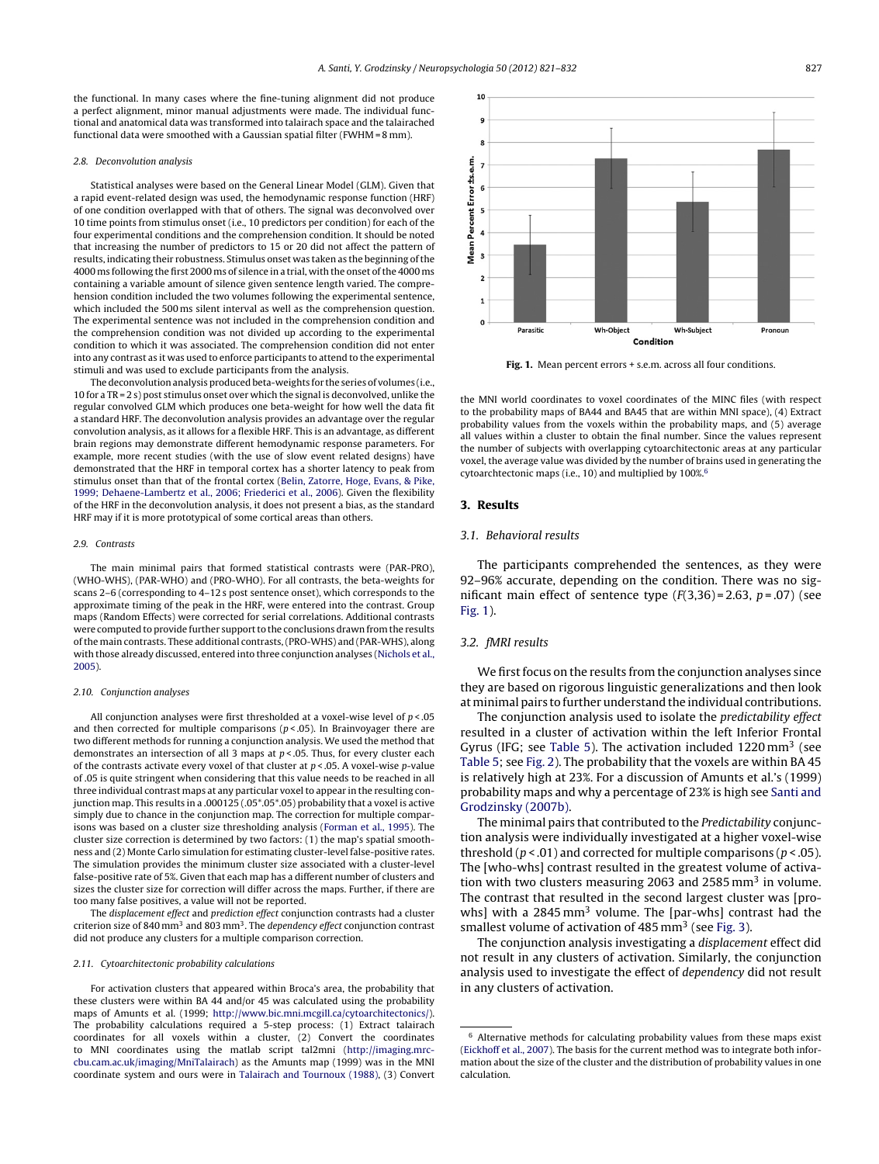the functional. In many cases where the fine-tuning alignment did not produce a perfect alignment, minor manual adjustments were made. The individual functional and anatomical data was transformed into talairach space and the talairached functional data were smoothed with a Gaussian spatial filter (FWHM = 8 mm).

#### 2.8. Deconvolution analysis

Statistical analyses were based on the General Linear Model (GLM). Given that a rapid event-related design was used, the hemodynamic response function (HRF) of one condition overlapped with that of others. The signal was deconvolved over 10 time points from stimulus onset (i.e., 10 predictors per condition) for each of the four experimental conditions and the comprehension condition. It should be noted that increasing the number of predictors to 15 or 20 did not affect the pattern of results, indicating their robustness. Stimulus onset was taken as the beginning ofthe 4000 ms following the first 2000 ms of silence in a trial, with the onset of the 4000 ms containing a variable amount of silence given sentence length varied. The comprehension condition included the two volumes following the experimental sentence, which included the 500 ms silent interval as well as the comprehension question. The experimental sentence was not included in the comprehension condition and the comprehension condition was not divided up according to the experimental condition to which it was associated. The comprehension condition did not enter into any contrast as it was used to enforce participants to attend to the experimental stimuli and was used to exclude participants from the analysis.

The deconvolution analysis produced beta-weights for the series of volumes (i.e., 10 for a TR = 2 s) post stimulus onset over which the signal is deconvolved, unlike the regular convolved GLM which produces one beta-weight for how well the data fit a standard HRF. The deconvolution analysis provides an advantage over the regular convolution analysis, as it allows for a flexible HRF. This is an advantage, as different brain regions may demonstrate different hemodynamic response parameters. For example, more recent studies (with the use of slow event related designs) have demonstrated that the HRF in temporal cortex has a shorter latency to peak from stimulus onset than that of the frontal cortex [\(Belin,](#page-10-0) [Zatorre,](#page-10-0) [Hoge,](#page-10-0) [Evans,](#page-10-0) [&](#page-10-0) [Pike,](#page-10-0) [1999;](#page-10-0) [Dehaene-Lambertz](#page-10-0) et [al.,](#page-10-0) [2006;](#page-10-0) [Friederici](#page-10-0) et [al.,](#page-10-0) [2006\).](#page-10-0) Given the flexibility of the HRF in the deconvolution analysis, it does not present a bias, as the standard HRF may if it is more prototypical of some cortical areas than others.

#### 2.9. Contrasts

The main minimal pairs that formed statistical contrasts were (PAR-PRO), (WHO-WHS), (PAR-WHO) and (PRO-WHO). For all contrasts, the beta-weights for scans 2–6 (corresponding to 4–12 s post sentence onset), which corresponds to the approximate timing of the peak in the HRF, were entered into the contrast. Group maps (Random Effects) were corrected for serial correlations. Additional contrasts were computed to provide further support to the conclusions drawn from the results ofthe main contrasts. These additional contrasts,(PRO-WHS) and (PAR-WHS), along with those already discussed, entered into three conjunction analyses ([Nichols](#page-11-0) et [al.,](#page-11-0) [2005\).](#page-11-0)

#### 2.10. Conjunction analyses

All conjunction analyses were first thresholded at a voxel-wise level of  $p < .05$ and then corrected for multiple comparisons ( $p$  < .05). In Brainvoyager there are two different methods for running a conjunction analysis. We used the method that demonstrates an intersection of all 3 maps at  $p < 0.05$ . Thus, for every cluster each of the contrasts activate every voxel of that cluster at  $p < .05$ . A voxel-wise p-value of .05 is quite stringent when considering that this value needs to be reached in all three individual contrast maps at any particular voxelto appear in the resulting conjunction map. This results in a .000125 (.05\*.05\*.05) probability that a voxel is active simply due to chance in the conjunction map. The correction for multiple comparisons was based on a cluster size thresholding analysis [\(Forman](#page-11-0) et [al.,](#page-11-0) [1995\).](#page-11-0) The cluster size correction is determined by two factors: (1) the map's spatial smoothness and (2) Monte Carlo simulation for estimating cluster-level false-positive rates. The simulation provides the minimum cluster size associated with a cluster-level false-positive rate of 5%. Given that each map has a different number of clusters and sizes the cluster size for correction will differ across the maps. Further, if there are too many false positives, a value will not be reported.

The displacement effect and prediction effect conjunction contrasts had a cluster criterion size of 840 mm<sup>3</sup> and 803 mm<sup>3</sup>. The *dependency effect* conjunction contrast did not produce any clusters for a multiple comparison correction.

#### 2.11. Cytoarchitectonic probability calculations

For activation clusters that appeared within Broca's area, the probability that these clusters were within BA 44 and/or 45 was calculated using the probability maps of Amunts et al. (1999; <http://www.bic.mni.mcgill.ca/cytoarchitectonics/>). The probability calculations required a 5-step process: (1) Extract talairach coordinates for all voxels within a cluster, (2) Convert the coordinates to MNI coordinates using the matlab script tal2mni [\(http://imaging.mrc](http://imaging.mrc-cbu.cam.ac.uk/imaging/MniTalairach)cbu.cam.ac.uk/imaging/MniTalairach) as the Amunts map (1999) was in the MNI coordinate system and ours were in [Talairach](#page-11-0) [and](#page-11-0) [Tournoux](#page-11-0) [\(1988\),](#page-11-0) (3) Convert



**Fig. 1.** Mean percent errors + s.e.m. across all four conditions.

the MNI world coordinates to voxel coordinates of the MINC files (with respect to the probability maps of BA44 and BA45 that are within MNI space), (4) Extract probability values from the voxels within the probability maps, and (5) average all values within a cluster to obtain the final number. Since the values represent the number of subjects with overlapping cytoarchitectonic areas at any particular voxel, the average value was divided by the number of brains used in generating the cytoarchtectonic maps (i.e., 10) and multiplied by 100%.6

### **3. Results**

### 3.1. Behavioral results

The participants comprehended the sentences, as they were 92–96% accurate, depending on the condition. There was no significant main effect of sentence type  $(F(3,36) = 2.63, p = .07)$  (see Fig. 1).

### 3.2. fMRI results

We first focus on the results from the conjunction analyses since they are based on rigorous linguistic generalizations and then look atminimal pairs to further understand the individual contributions.

The conjunction analysis used to isolate the predictability effect resulted in a cluster of activation within the left Inferior Frontal Gyrus (IFG; see [Table](#page-7-0) 5). The activation included  $1220 \text{ mm}^3$  (see [Table](#page-7-0) 5; see [Fig.](#page-7-0) 2). The probability that the voxels are within BA 45 is relatively high at 23%. For a discussion of Amunts et al.'s (1999) probability maps and why a percentage of 23% is high see [Santi](#page-11-0) [and](#page-11-0) [Grodzinsky](#page-11-0) [\(2007b\).](#page-11-0)

The minimal pairs that contributed to the Predictability conjunction analysis were individually investigated at a higher voxel-wise threshold ( $p < .01$ ) and corrected for multiple comparisons ( $p < .05$ ). The [who-whs] contrast resulted in the greatest volume of activation with two clusters measuring 2063 and 2585 mm<sup>3</sup> in volume. The contrast that resulted in the second largest cluster was [prowhs] with a  $2845 \text{ mm}^3$  volume. The [par-whs] contrast had the smallest volume of activation of  $485 \text{ mm}^3$  (see [Fig.](#page-7-0) 3).

The conjunction analysis investigating a displacement effect did not result in any clusters of activation. Similarly, the conjunction analysis used to investigate the effect of dependency did not result in any clusters of activation.

Alternative methods for calculating probability values from these maps exist ([Eickhoff](#page-10-0) et [al.,](#page-10-0) [2007\).](#page-10-0) The basis for the current method was to integrate both information about the size of the cluster and the distribution of probability values in one calculation.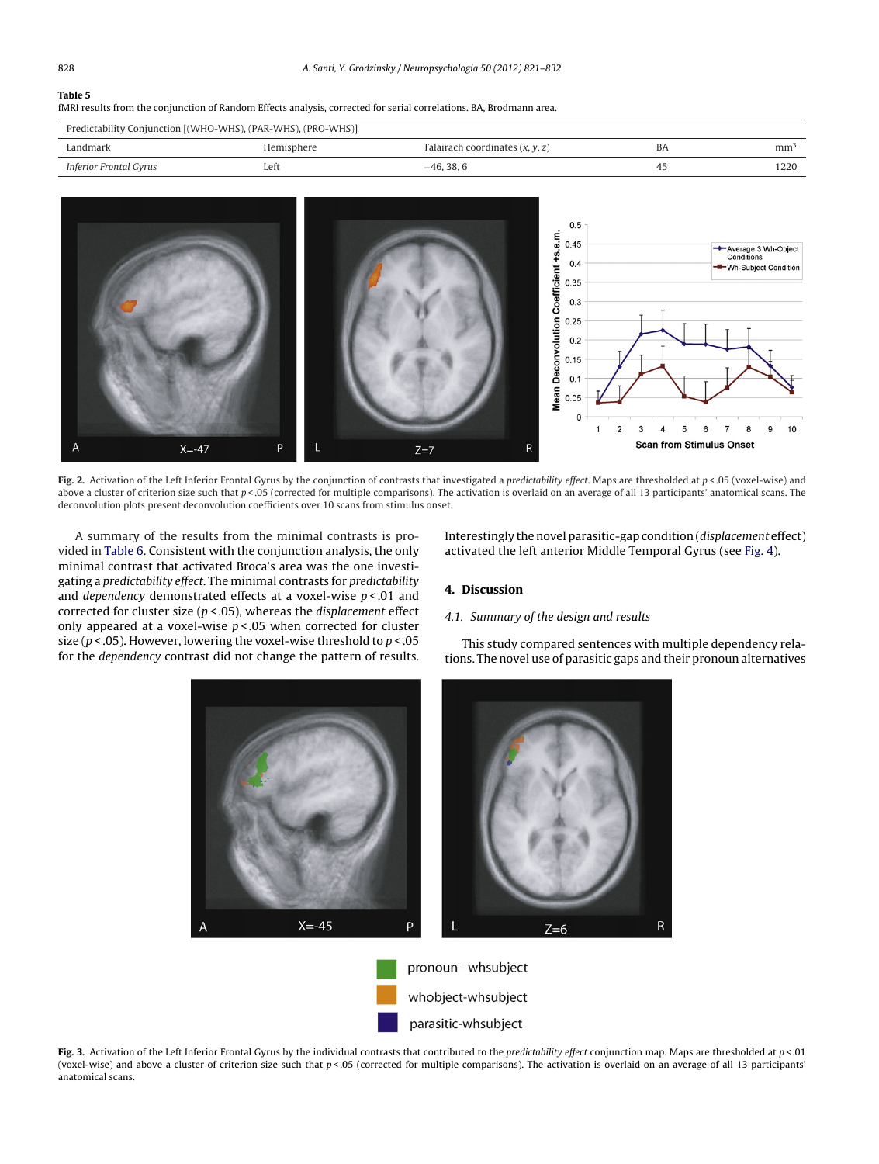<span id="page-7-0"></span>**Table 5**

#### fMRI results from the conjunction of Random Effects analysis, corrected for serial correlations. BA, Brodmann area.

| Predictability Conjunction [(WHO-WHS), (PAR-WHS), (PRO-WHS)] |            |                                 |    |      |
|--------------------------------------------------------------|------------|---------------------------------|----|------|
| Landmark                                                     | Hemisphere | [alairach coordinates (x, y, z) | BΑ | mm   |
| <b>Inferior Frontal Gyrus</b>                                | Left       | –46, 38, ւ                      | 4. | 1220 |



Fig. 2. Activation of the Left Inferior Frontal Gyrus by the conjunction of contrasts that investigated a predictability effect. Maps are thresholded at  $p < 05$  (voxel-wise) and above a cluster of criterion size such that  $p < .05$  (corrected for multiple comparisons). The activation is overlaid on an average of all 13 participants' anatomical scans. The deconvolution plots present deconvolution coefficients over 10 scans from stimulus onset.

A summary of the results from the minimal contrasts is provided in [Table](#page-8-0) 6. Consistent with the conjunction analysis, the only minimal contrast that activated Broca's area was the one investigating a predictability effect. The minimal contrasts for predictability and dependency demonstrated effects at a voxel-wise  $p < .01$  and corrected for cluster size ( $p$  < .05), whereas the *displacement* effect only appeared at a voxel-wise  $p < .05$  when corrected for cluster size ( $p$  < .05). However, lowering the voxel-wise threshold to  $p$  < .05 for the dependency contrast did not change the pattern of results.

Interestingly the novel parasitic-gap condition (*displacement* effect) activated the left anterior Middle Temporal Gyrus (see [Fig.](#page-8-0) 4).

### **4. Discussion**

### 4.1. Summary of the design and results

This study compared sentences with multiple dependency relations. The novel use of parasitic gaps and their pronoun alternatives





pronoun - whsubject whobject-whsubject parasitic-whsubject

Fig. 3. Activation of the Left Inferior Frontal Gyrus by the individual contrasts that contributed to the predictability effect conjunction map. Maps are thresholded at  $p < 01$ (voxel-wise) and above a cluster of criterion size such that  $p < .05$  (corrected for multiple comparisons). The activation is overlaid on an average of all 13 participants' anatomical scans.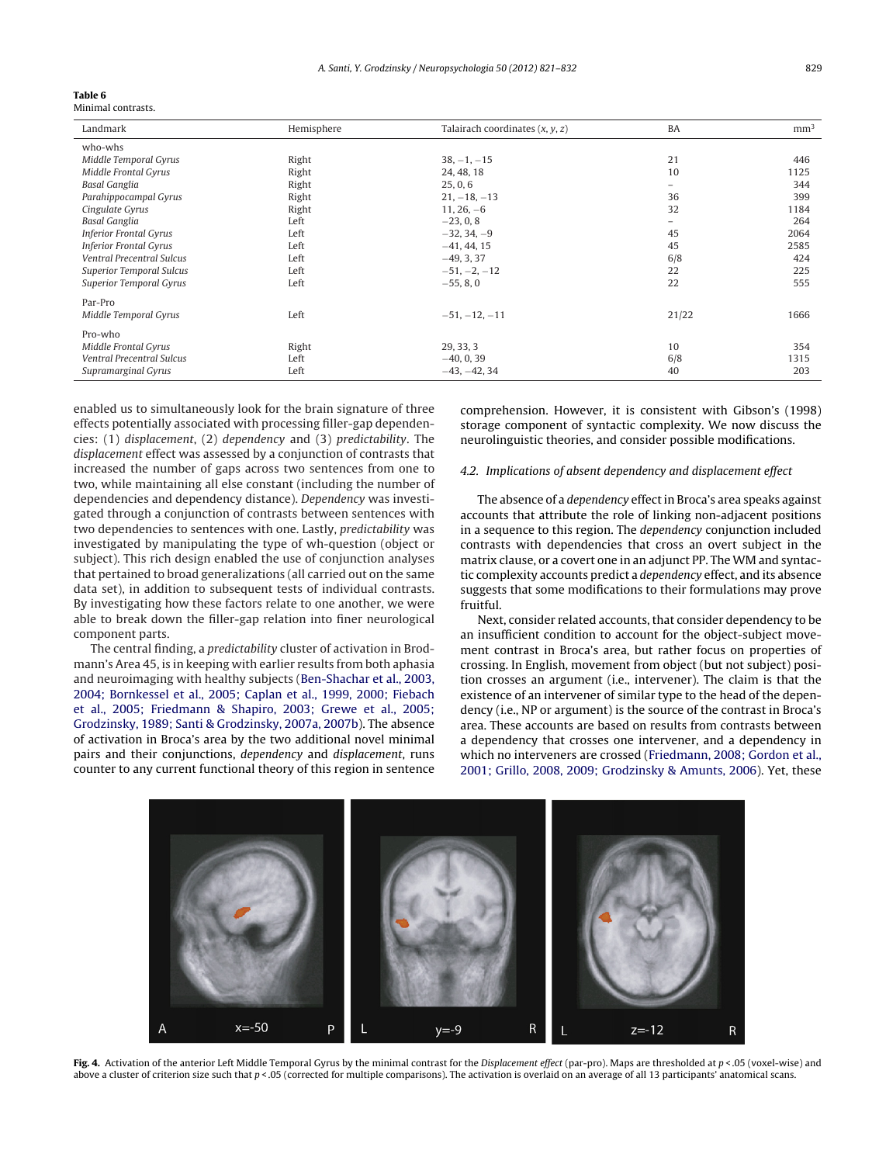### <span id="page-8-0"></span>**Table 6**

Minimal contrasts.

| Landmark                         | Hemisphere | Talairach coordinates $(x, y, z)$ | <b>BA</b>                | mm <sup>3</sup> |
|----------------------------------|------------|-----------------------------------|--------------------------|-----------------|
| who-whs                          |            |                                   |                          |                 |
| Middle Temporal Gyrus            | Right      | $38, -1, -15$                     | 21                       | 446             |
| Middle Frontal Gyrus             | Right      | 24, 48, 18                        | 10                       | 1125            |
| <b>Basal Ganglia</b>             | Right      | 25, 0, 6                          | $\overline{\phantom{0}}$ | 344             |
| Parahippocampal Gyrus            | Right      | $21, -18, -13$                    | 36                       | 399             |
| Cingulate Gyrus                  | Right      | $11, 26, -6$                      | 32                       | 1184            |
| <b>Basal Ganglia</b>             | Left       | $-23, 0, 8$                       | -                        | 264             |
| <b>Inferior Frontal Gyrus</b>    | Left       | $-32, 34, -9$                     | 45                       | 2064            |
| <b>Inferior Frontal Gyrus</b>    | Left       | $-41, 44, 15$                     | 45                       | 2585            |
| <b>Ventral Precentral Sulcus</b> | Left       | $-49, 3, 37$                      | 6/8                      | 424             |
| <b>Superior Temporal Sulcus</b>  | Left       | $-51, -2, -12$                    | 22                       | 225             |
| <b>Superior Temporal Gyrus</b>   | Left       | $-55, 8, 0$                       | 22                       | 555             |
| Par-Pro                          |            |                                   |                          |                 |
| Middle Temporal Gyrus            | Left       | $-51, -12, -11$                   | 21/22                    | 1666            |
| Pro-who                          |            |                                   |                          |                 |
| Middle Frontal Gyrus             | Right      | 29, 33, 3                         | 10                       | 354             |
| <b>Ventral Precentral Sulcus</b> | Left       | $-40, 0, 39$                      | 6/8                      | 1315            |
| Supramarginal Gyrus              | Left       | $-43, -42, 34$                    | 40                       | 203             |

enabled us to simultaneously look for the brain signature of three effects potentially associated with processing filler-gap dependencies: (1) displacement, (2) dependency and (3) predictability. The displacement effect was assessed by a conjunction of contrasts that increased the number of gaps across two sentences from one to two, while maintaining all else constant (including the number of dependencies and dependency distance). Dependency was investigated through a conjunction of contrasts between sentences with two dependencies to sentences with one. Lastly, predictability was investigated by manipulating the type of wh-question (object or subject). This rich design enabled the use of conjunction analyses that pertained to broad generalizations (all carried out on the same data set), in addition to subsequent tests of individual contrasts. By investigating how these factors relate to one another, we were able to break down the filler-gap relation into finer neurological component parts.

The central finding, a predictability cluster of activation in Brodmann's Area 45, is in keeping with earlier results from both aphasia and neuroimaging with healthy subjects [\(Ben-Shachar](#page-10-0) et [al.,](#page-10-0) [2003,](#page-10-0) [2004;](#page-10-0) [Bornkessel](#page-10-0) et [al.,](#page-10-0) [2005;](#page-10-0) [Caplan](#page-10-0) et [al.,](#page-10-0) [1999,](#page-10-0) [2000;](#page-10-0) [Fiebach](#page-10-0) et [al.,](#page-10-0) [2005;](#page-10-0) [Friedmann](#page-10-0) [&](#page-10-0) [Shapiro,](#page-10-0) [2003;](#page-10-0) [Grewe](#page-10-0) et [al.,](#page-10-0) [2005;](#page-10-0) [Grodzinsky,](#page-10-0) [1989;](#page-10-0) [Santi](#page-10-0) [&](#page-10-0) [Grodzinsky,](#page-10-0) [2007a,](#page-10-0) [2007b\).](#page-10-0) The absence of activation in Broca's area by the two additional novel minimal pairs and their conjunctions, dependency and displacement, runs counter to any current functional theory of this region in sentence comprehension. However, it is consistent with Gibson's (1998) storage component of syntactic complexity. We now discuss the neurolinguistic theories, and consider possible modifications.

### 4.2. Implications of absent dependency and displacement effect

The absence of a dependency effect in Broca's area speaks against accounts that attribute the role of linking non-adjacent positions in a sequence to this region. The dependency conjunction included contrasts with dependencies that cross an overt subject in the matrix clause, or a covert one in an adjunct PP. The WM and syntactic complexity accounts predict a dependency effect, and its absence suggests that some modifications to their formulations may prove fruitful.

Next, consider related accounts, that consider dependency to be an insufficient condition to account for the object-subject movement contrast in Broca's area, but rather focus on properties of crossing. In English, movement from object (but not subject) position crosses an argument (i.e., intervener). The claim is that the existence of an intervener of similar type to the head of the dependency (i.e., NP or argument) is the source of the contrast in Broca's area. These accounts are based on results from contrasts between a dependency that crosses one intervener, and a dependency in which no interveners are crossed [\(Friedmann,](#page-11-0) [2008;](#page-11-0) [Gordon](#page-11-0) et [al.,](#page-11-0) [2001;](#page-11-0) [Grillo,](#page-11-0) [2008,](#page-11-0) [2009;](#page-11-0) [Grodzinsky](#page-11-0) [&](#page-11-0) [Amunts,](#page-11-0) [2006\).](#page-11-0) Yet, these



Fig. 4. Activation of the anterior Left Middle Temporal Gyrus by the minimal contrast for the Displacement effect (par-pro). Maps are thresholded at  $p < 05$  (voxel-wise) and above a cluster of criterion size such that  $p < .05$  (corrected for multiple comparisons). The activation is overlaid on an average of all 13 participants' anatomical scans.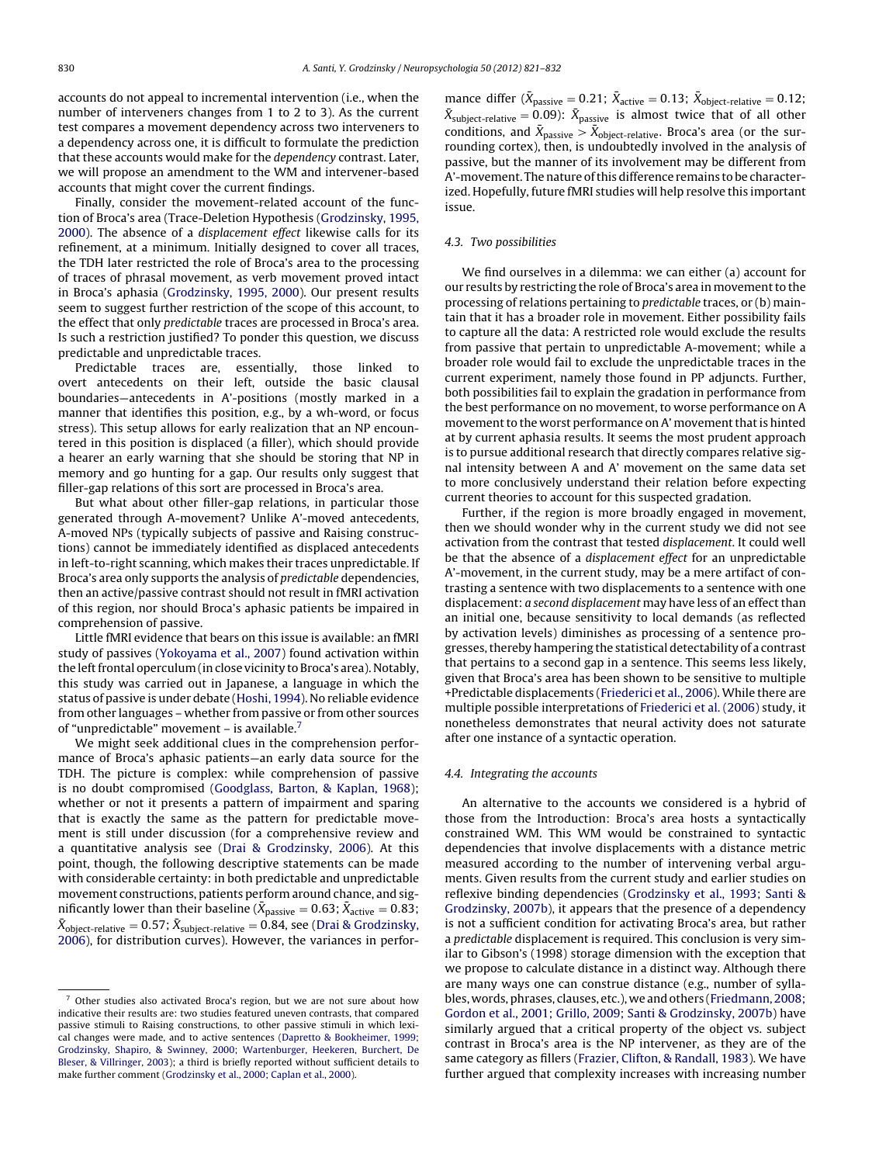accounts do not appeal to incremental intervention (i.e., when the number of interveners changes from 1 to 2 to 3). As the current test compares a movement dependency across two interveners to a dependency across one, it is difficult to formulate the prediction that these accounts would make for the dependency contrast. Later, we will propose an amendment to the WM and intervener-based accounts that might cover the current findings.

Finally, consider the movement-related account of the function of Broca's area (Trace-Deletion Hypothesis [\(Grodzinsky,](#page-11-0) [1995,](#page-11-0) [2000\).](#page-11-0) The absence of a displacement effect likewise calls for its refinement, at a minimum. Initially designed to cover all traces, the TDH later restricted the role of Broca's area to the processing of traces of phrasal movement, as verb movement proved intact in Broca's aphasia [\(Grodzinsky,](#page-11-0) [1995,](#page-11-0) [2000\).](#page-11-0) Our present results seem to suggest further restriction of the scope of this account, to the effect that only predictable traces are processed in Broca's area. Is such a restriction justified? To ponder this question, we discuss predictable and unpredictable traces.

Predictable traces are, essentially, those linked to overt antecedents on their left, outside the basic clausal boundaries—antecedents in A'-positions (mostly marked in a manner that identifies this position, e.g., by a wh-word, or focus stress). This setup allows for early realization that an NP encountered in this position is displaced (a filler), which should provide a hearer an early warning that she should be storing that NP in memory and go hunting for a gap. Our results only suggest that filler-gap relations of this sort are processed in Broca's area.

But what about other filler-gap relations, in particular those generated through A-movement? Unlike A'-moved antecedents, A-moved NPs (typically subjects of passive and Raising constructions) cannot be immediately identified as displaced antecedents in left-to-right scanning, which makes their traces unpredictable. If Broca's area only supports the analysis of predictable dependencies, then an active/passive contrast should not result in fMRI activation of this region, nor should Broca's aphasic patients be impaired in comprehension of passive.

Little fMRI evidence that bears on this issue is available: an fMRI study of passives ([Yokoyama](#page-11-0) et [al.,](#page-11-0) [2007\)](#page-11-0) found activation within the left frontal operculum (in close vicinity to Broca's area). Notably, this study was carried out in Japanese, a language in which the status of passive is under debate [\(Hoshi,](#page-11-0) [1994\).](#page-11-0) No reliable evidence from other languages – whether from passive or from other sources of "unpredictable" movement – is available.7

We might seek additional clues in the comprehension performance of Broca's aphasic patients—an early data source for the TDH. The picture is complex: while comprehension of passive is no doubt compromised ([Goodglass,](#page-11-0) [Barton,](#page-11-0) [&](#page-11-0) [Kaplan,](#page-11-0) [1968\);](#page-11-0) whether or not it presents a pattern of impairment and sparing that is exactly the same as the pattern for predictable movement is still under discussion (for a comprehensive review and a quantitative analysis see ([Drai](#page-10-0) [&](#page-10-0) [Grodzinsky,](#page-10-0) [2006\).](#page-10-0) At this point, though, the following descriptive statements can be made with considerable certainty: in both predictable and unpredictable movement constructions, patients perform around chance, and significantly lower than their baseline ( $\bar{X}_{\text{passive}} = 0.63$ ;  $\bar{X}_{\text{active}} = 0.83$ ;  $\bar{X}_{object-relative} = 0.57$ ;  $\bar{X}_{subject-relative} = 0.84$ , see ([Drai](#page-10-0) [&](#page-10-0) [Grodzinsky,](#page-10-0) [2006\),](#page-10-0) for distribution curves). However, the variances in perfor-

mance differ ( $\bar{X}_{\text{passive}} = 0.21$ ;  $\bar{X}_{\text{active}} = 0.13$ ;  $\bar{X}_{\text{object-relative}} = 0.12$ ;  $\bar{X}_{\text{subject-relative}} = 0.09$ ):  $\bar{X}_{\text{passive}}$  is almost twice that of all other conditions, and  $\bar{X}_{\text{passive}} > \bar{X}_{\text{object-relative}}$ . Broca's area (or the surrounding cortex), then, is undoubtedly involved in the analysis of passive, but the manner of its involvement may be different from A'-movement. The nature of this difference remains to be characterized. Hopefully, future fMRI studies will help resolve this important issue.

#### 4.3. Two possibilities

We find ourselves in a dilemma: we can either (a) account for our results by restricting the role of Broca's area in movement to the processing of relations pertaining to predictable traces, or (b) maintain that it has a broader role in movement. Either possibility fails to capture all the data: A restricted role would exclude the results from passive that pertain to unpredictable A-movement; while a broader role would fail to exclude the unpredictable traces in the current experiment, namely those found in PP adjuncts. Further, both possibilities fail to explain the gradation in performance from the best performance on no movement, to worse performance on A movement to the worst performance on A' movement that is hinted at by current aphasia results. It seems the most prudent approach is to pursue additional research that directly compares relative signal intensity between A and A' movement on the same data set to more conclusively understand their relation before expecting current theories to account for this suspected gradation.

Further, if the region is more broadly engaged in movement, then we should wonder why in the current study we did not see activation from the contrast that tested displacement. It could well be that the absence of a displacement effect for an unpredictable A'-movement, in the current study, may be a mere artifact of contrasting a sentence with two displacements to a sentence with one displacement: *a second displacement* may have less of an effect than an initial one, because sensitivity to local demands (as reflected by activation levels) diminishes as processing of a sentence progresses, thereby hampering the statistical detectability of a contrast that pertains to a second gap in a sentence. This seems less likely, given that Broca's area has been shown to be sensitive to multiple +Predictable displacements [\(Friederici](#page-11-0) et [al.,](#page-11-0) [2006\).](#page-11-0) While there are multiple possible interpretations of [Friederici](#page-11-0) et [al.](#page-11-0) [\(2006\)](#page-11-0) study, it nonetheless demonstrates that neural activity does not saturate after one instance of a syntactic operation.

#### 4.4. Integrating the accounts

An alternative to the accounts we considered is a hybrid of those from the Introduction: Broca's area hosts a syntactically constrained WM. This WM would be constrained to syntactic dependencies that involve displacements with a distance metric measured according to the number of intervening verbal arguments. Given results from the current study and earlier studies on reflexive binding dependencies ([Grodzinsky](#page-11-0) et [al.,](#page-11-0) [1993;](#page-11-0) [Santi](#page-11-0) [&](#page-11-0) [Grodzinsky,](#page-11-0) [2007b\),](#page-11-0) it appears that the presence of a dependency is not a sufficient condition for activating Broca's area, but rather a predictable displacement is required. This conclusion is very similar to Gibson's (1998) storage dimension with the exception that we propose to calculate distance in a distinct way. Although there are many ways one can construe distance (e.g., number of sylla-bles, words, phrases, clauses, etc.), we and others [\(Friedmann,](#page-11-0) [2008;](#page-11-0) [Gordon](#page-11-0) et [al.,](#page-11-0) [2001;](#page-11-0) [Grillo,](#page-11-0) [2009;](#page-11-0) [Santi](#page-11-0) [&](#page-11-0) [Grodzinsky,](#page-11-0) [2007b\)](#page-11-0) have similarly argued that a critical property of the object vs. subject contrast in Broca's area is the NP intervener, as they are of the same category as fillers [\(Frazier,](#page-11-0) [Clifton,](#page-11-0) [&](#page-11-0) [Randall,](#page-11-0) [1983\).](#page-11-0) We have further argued that complexity increases with increasing number

<sup>7</sup> Other studies also activated Broca's region, but we are not sure about how indicative their results are: two studies featured uneven contrasts, that compared passive stimuli to Raising constructions, to other passive stimuli in which lexical changes were made, and to active sentences ([Dapretto](#page-10-0) [&](#page-10-0) [Bookheimer,](#page-10-0) [1999;](#page-10-0) [Grodzinsky,](#page-10-0) [Shapiro,](#page-10-0) [&](#page-10-0) [Swinney,](#page-10-0) [2000;](#page-10-0) [Wartenburger,](#page-10-0) [Heekeren,](#page-10-0) [Burchert,](#page-10-0) [De](#page-10-0) [Bleser,](#page-10-0) [&](#page-10-0) [Villringer,](#page-10-0) [2003\);](#page-10-0) a third is briefly reported without sufficient details to make further comment ([Grodzinsky](#page-11-0) et [al.,](#page-11-0) [2000;](#page-11-0) [Caplan](#page-11-0) et [al.,](#page-11-0) [2000\).](#page-11-0)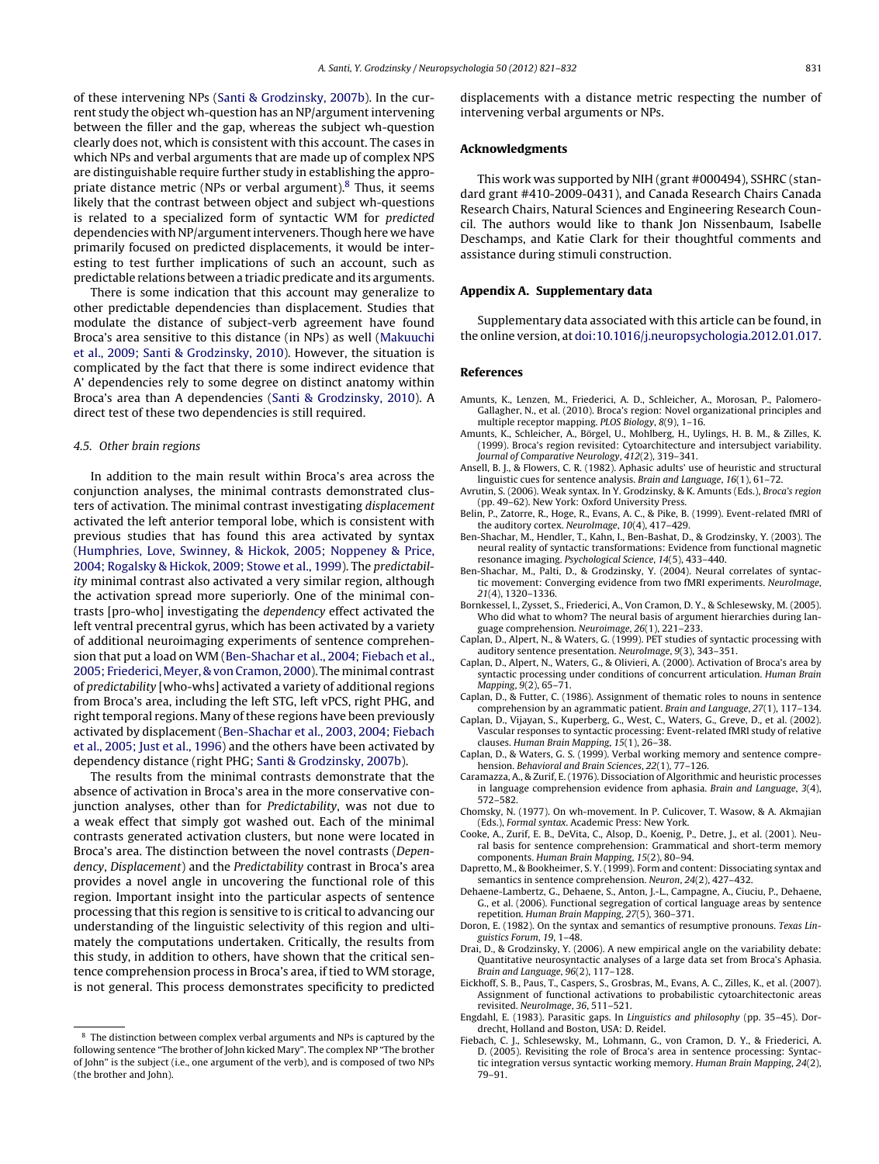<span id="page-10-0"></span>of these intervening NPs [\(Santi](#page-11-0) [&](#page-11-0) [Grodzinsky,](#page-11-0) [2007b\).](#page-11-0) In the current study the object wh-question has an NP/argument intervening between the filler and the gap, whereas the subject wh-question clearly does not, which is consistent with this account. The cases in which NPs and verbal arguments that are made up of complex NPS are distinguishable require further study in establishing the appropriate distance metric (NPs or verbal argument).8 Thus, it seems likely that the contrast between object and subject wh-questions is related to a specialized form of syntactic WM for predicted dependencies with NP/argumentinterveners. Though here we have primarily focused on predicted displacements, it would be interesting to test further implications of such an account, such as predictable relations between a triadic predicate and its arguments.

There is some indication that this account may generalize to other predictable dependencies than displacement. Studies that modulate the distance of subject-verb agreement have found Broca's area sensitive to this distance (in NPs) as well [\(Makuuchi](#page-11-0) et [al.,](#page-11-0) [2009;](#page-11-0) [Santi](#page-11-0) [&](#page-11-0) [Grodzinsky,](#page-11-0) [2010\).](#page-11-0) However, the situation is complicated by the fact that there is some indirect evidence that A' dependencies rely to some degree on distinct anatomy within Broca's area than A dependencies [\(Santi](#page-11-0) [&](#page-11-0) [Grodzinsky,](#page-11-0) [2010\).](#page-11-0) A direct test of these two dependencies is still required.

### 4.5. Other brain regions

In addition to the main result within Broca's area across the conjunction analyses, the minimal contrasts demonstrated clusters of activation. The minimal contrast investigating displacement activated the left anterior temporal lobe, which is consistent with previous studies that has found this area activated by syntax ([Humphries,](#page-11-0) [Love,](#page-11-0) [Swinney,](#page-11-0) [&](#page-11-0) [Hickok,](#page-11-0) [2005;](#page-11-0) [Noppeney](#page-11-0) [&](#page-11-0) [Price,](#page-11-0) [2004;](#page-11-0) [Rogalsky](#page-11-0) [&](#page-11-0) [Hickok,](#page-11-0) [2009;](#page-11-0) [Stowe](#page-11-0) et [al.,](#page-11-0) [1999\).](#page-11-0) The predictability minimal contrast also activated a very similar region, although the activation spread more superiorly. One of the minimal contrasts [pro-who] investigating the dependency effect activated the left ventral precentral gyrus, which has been activated by a variety of additional neuroimaging experiments of sentence comprehension that put a load on WM (Ben-Shachar et al., 2004; Fiebach et al., 2005; Friederici,Meyer, & von Cramon, 2000). The minimal contrast of predictability [who-whs] activated a variety of additional regions from Broca's area, including the left STG, left vPCS, right PHG, and right temporal regions. Many of these regions have been previously activated by displacement (Ben-Shachar et al., 2003, 2004; Fiebach et al., 2005; Just et al., 1996) and the others have been activated by dependency distance (right PHG; [Santi](#page-11-0) [&](#page-11-0) [Grodzinsky,](#page-11-0) [2007b\).](#page-11-0)

The results from the minimal contrasts demonstrate that the absence of activation in Broca's area in the more conservative conjunction analyses, other than for Predictability, was not due to a weak effect that simply got washed out. Each of the minimal contrasts generated activation clusters, but none were located in Broca's area. The distinction between the novel contrasts (Dependency, Displacement) and the Predictability contrast in Broca's area provides a novel angle in uncovering the functional role of this region. Important insight into the particular aspects of sentence processing that this region is sensitive to is critical to advancing our understanding of the linguistic selectivity of this region and ultimately the computations undertaken. Critically, the results from this study, in addition to others, have shown that the critical sentence comprehension process in Broca's area, if tied to WM storage, is not general. This process demonstrates specificity to predicted

<sup>8</sup> The distinction between complex verbal arguments and NPs is captured by the following sentence "The brother of John kicked Mary". The complex NP "The brother of John" is the subject (i.e., one argument of the verb), and is composed of two NPs (the brother and John).

displacements with a distance metric respecting the number of intervening verbal arguments or NPs.

### **Acknowledgments**

This work was supported by NIH (grant #000494), SSHRC (standard grant #410-2009-0431), and Canada Research Chairs Canada Research Chairs, Natural Sciences and Engineering Research Council. The authors would like to thank Jon Nissenbaum, Isabelle Deschamps, and Katie Clark for their thoughtful comments and assistance during stimuli construction.

### **Appendix A. Supplementary data**

Supplementary data associated with this article can be found, in the online version, at [doi:10.1016/j.neuropsychologia.2012.01.017.](http://dx.doi.org/10.1016/j.neuropsychologia.2012.01.017)

### **References**

- Amunts, K., Lenzen, M., Friederici, A. D., Schleicher, A., Morosan, P., Palomero-Gallagher, N., et al. (2010). Broca's region: Novel organizational principles and multiple receptor mapping. PLOS Biology, 8(9), 1–16.
- Amunts, K., Schleicher, A., Börgel, U., Mohlberg, H., Uylings, H. B. M., & Zilles, K. (1999). Broca's region revisited: Cytoarchitecture and intersubject variability. Journal of Comparative Neurology, 412(2), 319–341.
- Ansell, B. J., & Flowers, C. R. (1982). Aphasic adults' use of heuristic and structural linguistic cues for sentence analysis. Brain and Language, 16(1), 61–72.
- Avrutin, S. (2006). Weak syntax. In Y. Grodzinsky, & K. Amunts (Eds.), Broca's region (pp. 49–62). New York: Oxford University Press.
- Belin, P., Zatorre, R., Hoge, R., Evans, A. C., & Pike, B. (1999). Event-related fMRI of the auditory cortex. NeuroImage, 10(4), 417–429.
- Ben-Shachar, M., Hendler, T., Kahn, I., Ben-Bashat, D., & Grodzinsky, Y. (2003). The neural reality of syntactic transformations: Evidence from functional magnetic resonance imaging. Psychological Science, 14(5), 433–440.
- Ben-Shachar, M., Palti, D., & Grodzinsky, Y. (2004). Neural correlates of syntactic movement: Converging evidence from two fMRI experiments. NeuroImage, 21(4), 1320–1336.
- Bornkessel, I., Zysset, S., Friederici, A., Von Cramon, D. Y., & Schlesewsky, M. (2005). Who did what to whom? The neural basis of argument hierarchies during language comprehension. Neuroimage, 26(1), 221–233.
- Caplan, D., Alpert, N., & Waters, G. (1999). PET studies of syntactic processing with auditory sentence presentation. NeuroImage, 9(3), 343–351.
- Caplan, D., Alpert, N., Waters, G., & Olivieri, A. (2000). Activation of Broca's area by syntactic processing under conditions of concurrent articulation. Human Brain Mapping, 9(2), 65–71.
- Caplan, D., & Futter, C. (1986). Assignment of thematic roles to nouns in sentence comprehension by an agrammatic patient. Brain and Language, 27(1), 117–134.
- Caplan, D., Vijayan, S., Kuperberg, G., West, C., Waters, G., Greve, D., et al. (2002). Vascular responses to syntactic processing: Event-related fMRI study of relative clauses. Human Brain Mapping, 15(1), 26–38.
- Caplan, D., & Waters, G. S. (1999). Verbal working memory and sentence comprehension. Behavioral and Brain Sciences, 22(1), 77–126.
- Caramazza, A., & Zurif, E. (1976). Dissociation of Algorithmic and heuristic processes in language comprehension evidence from aphasia. Brain and Language, 3(4), 572–582.
- Chomsky, N. (1977). On wh-movement. In P. Culicover, T. Wasow, & A. Akmajian (Eds.), Formal syntax. Academic Press: New York.
- Cooke, A., Zurif, E. B., DeVita, C., Alsop, D., Koenig, P., Detre, J., et al. (2001). Neural basis for sentence comprehension: Grammatical and short-term memory components. Human Brain Mapping, 15(2), 80–94.
- Dapretto, M., & Bookheimer, S. Y. (1999). Form and content: Dissociating syntax and semantics in sentence comprehension. Neuron, 24(2), 427–432.
- Dehaene-Lambertz, G., Dehaene, S., Anton, J.-L., Campagne, A., Ciuciu, P., Dehaene, G., et al. (2006). Functional segregation of cortical language areas by sentence repetition. Human Brain Mapping, 27(5), 360–371.
- Doron, E. (1982). On the syntax and semantics of resumptive pronouns. Texas Linguistics Forum, 19, 1–48.
- Drai, D., & Grodzinsky, Y. (2006). A new empirical angle on the variability debate: Quantitative neurosyntactic analyses of a large data set from Broca's Aphasia. Brain and Language, 96(2), 117–128.
- Eickhoff, S. B., Paus, T., Caspers, S., Grosbras, M., Evans, A. C., Zilles, K., et al. (2007). Assignment of functional activations to probabilistic cytoarchitectonic areas revisited. NeuroImage, 36, 511–521.
- Engdahl, E. (1983). Parasitic gaps. In Linguistics and philosophy (pp. 35–45). Dordrecht, Holland and Boston, USA: D. Reidel.
- Fiebach, C. J., Schlesewsky, M., Lohmann, G., von Cramon, D. Y., & Friederici, A. D. (2005). Revisiting the role of Broca's area in sentence processing: Syntactic integration versus syntactic working memory. Human Brain Mapping, 24(2), 79–91.